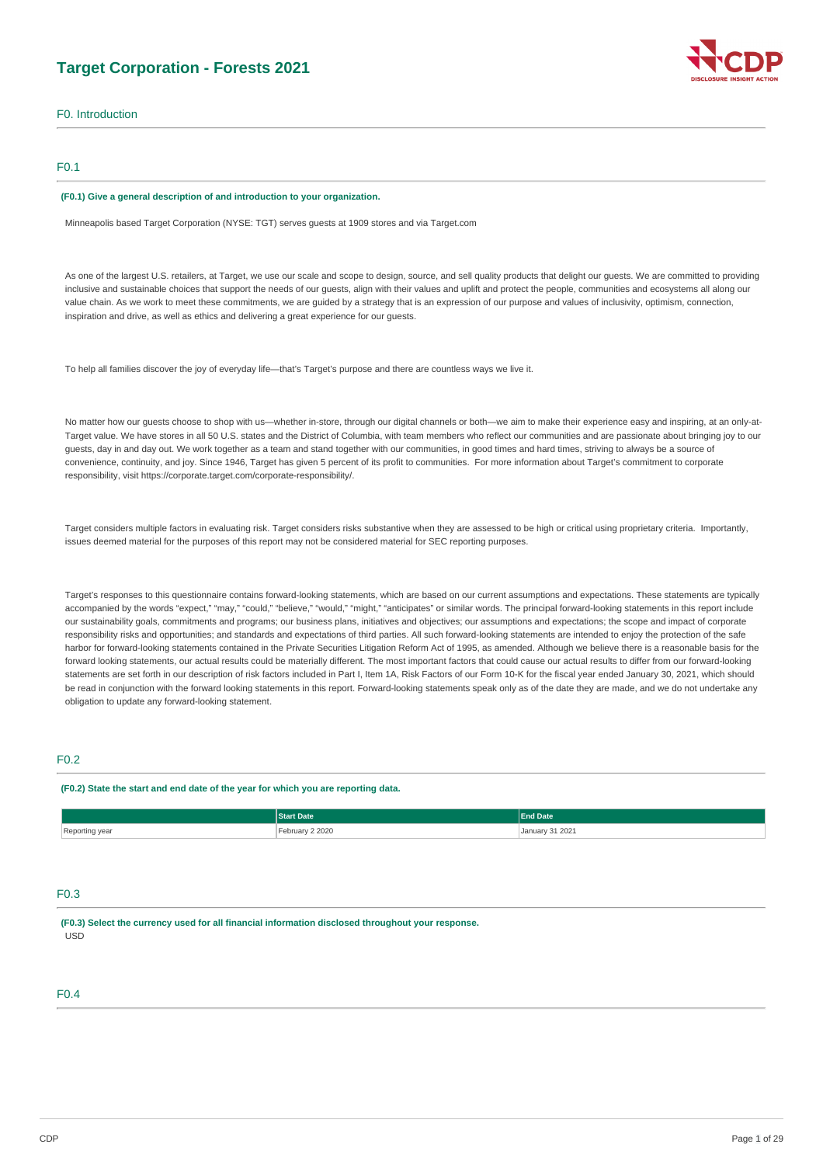# **Target Corporation - Forests 2021**

F0. Introduction

## F0.1

#### **(F0.1) Give a general description of and introduction to your organization.**

Minneapolis based Target Corporation (NYSE: TGT) serves guests at 1909 stores and via [Target.com](http://Target.com)

As one of the largest U.S. retailers, at Target, we use our scale and scope to design, source, and sell quality products that delight our guests. We are committed to providing inclusive and sustainable choices that support the needs of our guests, align with their values and uplift and protect the people, communities and ecosystems all along our value chain. As we work to meet these commitments, we are guided by a strategy that is an expression of our purpose and values of inclusivity, optimism, connection, inspiration and drive, as well as ethics and delivering a great experience for our guests.

To help all families discover the joy of everyday life—that's Target's purpose and there are countless ways we live it.

No matter how our guests choose to shop with us—whether in-store, through our digital channels or both—we aim to make their experience easy and inspiring, at an only-at-Target value. We have stores in all 50 U.S. states and the District of Columbia, with team members who reflect our communities and are passionate about bringing joy to our guests, day in and day out. We work together as a team and stand together with our communities, in good times and hard times, striving to always be a source of convenience, continuity, and joy. Since 1946, Target has given 5 percent of its profit to communities. For more information about Target's commitment to corporate responsibility, visit<https://corporate.target.com/corporate-responsibility/>.

Target considers multiple factors in evaluating risk. Target considers risks substantive when they are assessed to be high or critical using proprietary criteria. Importantly, issues deemed material for the purposes of this report may not be considered material for SEC reporting purposes.

Target's responses to this questionnaire contains forward-looking statements, which are based on our current assumptions and expectations. These statements are typically accompanied by the words "expect," "may," "could," "believe," "would," "might," "anticipates" or similar words. The principal forward-looking statements in this report include our sustainability goals, commitments and programs; our business plans, initiatives and objectives; our assumptions and expectations; the scope and impact of corporate responsibility risks and opportunities; and standards and expectations of third parties. All such forward-looking statements are intended to enjoy the protection of the safe harbor for forward-looking statements contained in the Private Securities Litigation Reform Act of 1995, as amended. Although we believe there is a reasonable basis for the forward looking statements, our actual results could be materially different. The most important factors that could cause our actual results to differ from our forward-looking statements are set forth in our description of risk factors included in Part I, Item 1A, Risk Factors of our Form 10-K for the fiscal year ended January 30, 2021, which should be read in conjunction with the forward looking statements in this report. Forward-looking statements speak only as of the date they are made, and we do not undertake any obligation to update any forward-looking statement.

## F0.2

#### **(F0.2) State the start and end date of the year for which you are reporting data.**

|                | <b>Start Date</b> | <b>End Date</b>      |
|----------------|-------------------|----------------------|
| Reporting year | ebruary 2 2020    | January 31 2021<br>. |

# F0.3

**(F0.3) Select the currency used for all financial information disclosed throughout your response.**  USD

# F0.4

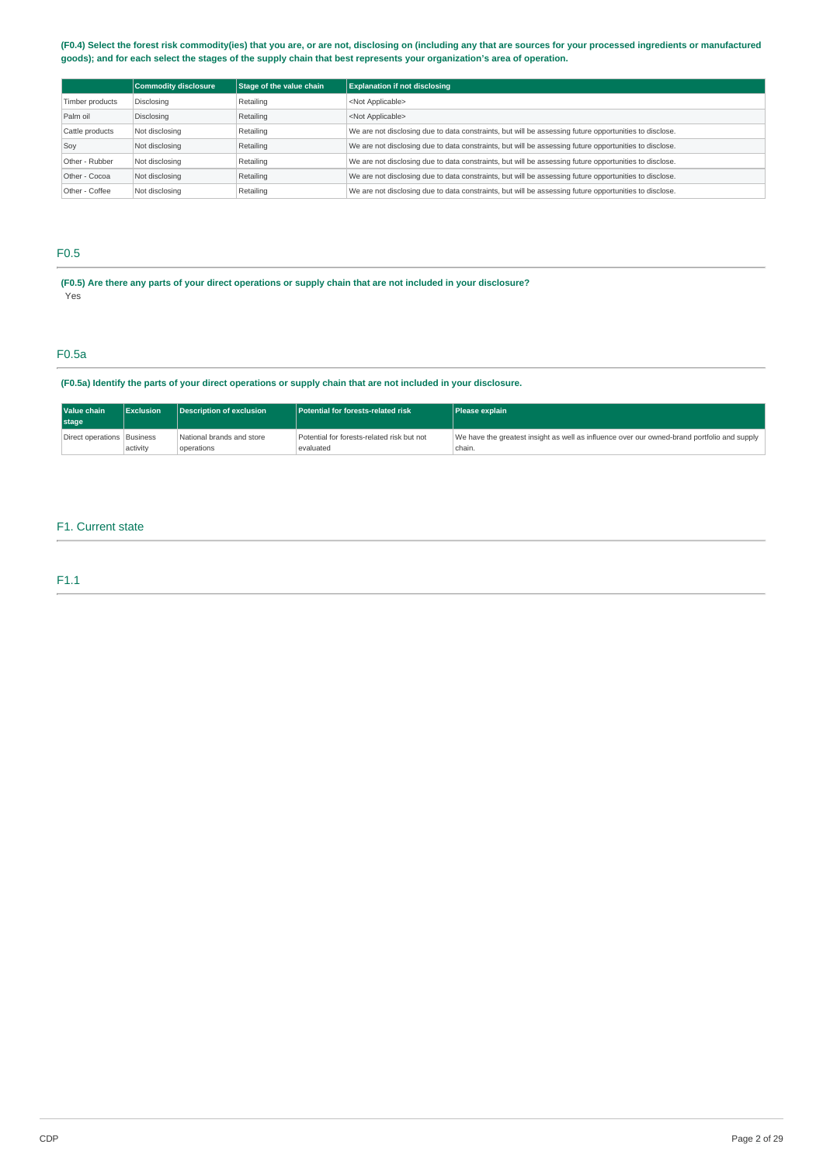## **(F0.4) Select the forest risk commodity(ies) that you are, or are not, disclosing on (including any that are sources for your processed ingredients or manufactured goods); and for each select the stages of the supply chain that best represents your organization's area of operation.**

|                 | <b>Commodity disclosure</b> | Stage of the value chain | <b>Explanation if not disclosing</b>                                                                   |
|-----------------|-----------------------------|--------------------------|--------------------------------------------------------------------------------------------------------|
| Timber products | Disclosing                  | Retailing                | <not applicable=""></not>                                                                              |
| Palm oil        | Disclosing                  | Retailing                | <not applicable=""></not>                                                                              |
| Cattle products | Not disclosing              | Retailing                | We are not disclosing due to data constraints, but will be assessing future opportunities to disclose. |
| Soy             | Not disclosing              | Retailing                | We are not disclosing due to data constraints, but will be assessing future opportunities to disclose. |
| Other - Rubber  | Not disclosing              | Retailing                | We are not disclosing due to data constraints, but will be assessing future opportunities to disclose. |
| Other - Cocoa   | Not disclosing              | Retailing                | We are not disclosing due to data constraints, but will be assessing future opportunities to disclose. |
| Other - Coffee  | Not disclosing              | Retailing                | We are not disclosing due to data constraints, but will be assessing future opportunities to disclose. |

# F0.5

**(F0.5) Are there any parts of your direct operations or supply chain that are not included in your disclosure?**  Yes

# F0.5a

**(F0.5a) Identify the parts of your direct operations or supply chain that are not included in your disclosure.** 

| Value chain                  | Exclusion | Description of exclusion                | Potential for forests-related risk                      | <b>Please explain</b>                                                                                 |  |
|------------------------------|-----------|-----------------------------------------|---------------------------------------------------------|-------------------------------------------------------------------------------------------------------|--|
| stage                        |           |                                         |                                                         |                                                                                                       |  |
| Direct operations   Business | activity  | National brands and store<br>operations | Potential for forests-related risk but not<br>evaluated | We have the greatest insight as well as influence over our owned-brand portfolio and supply<br>chain. |  |

## F1. Current state

# F1.1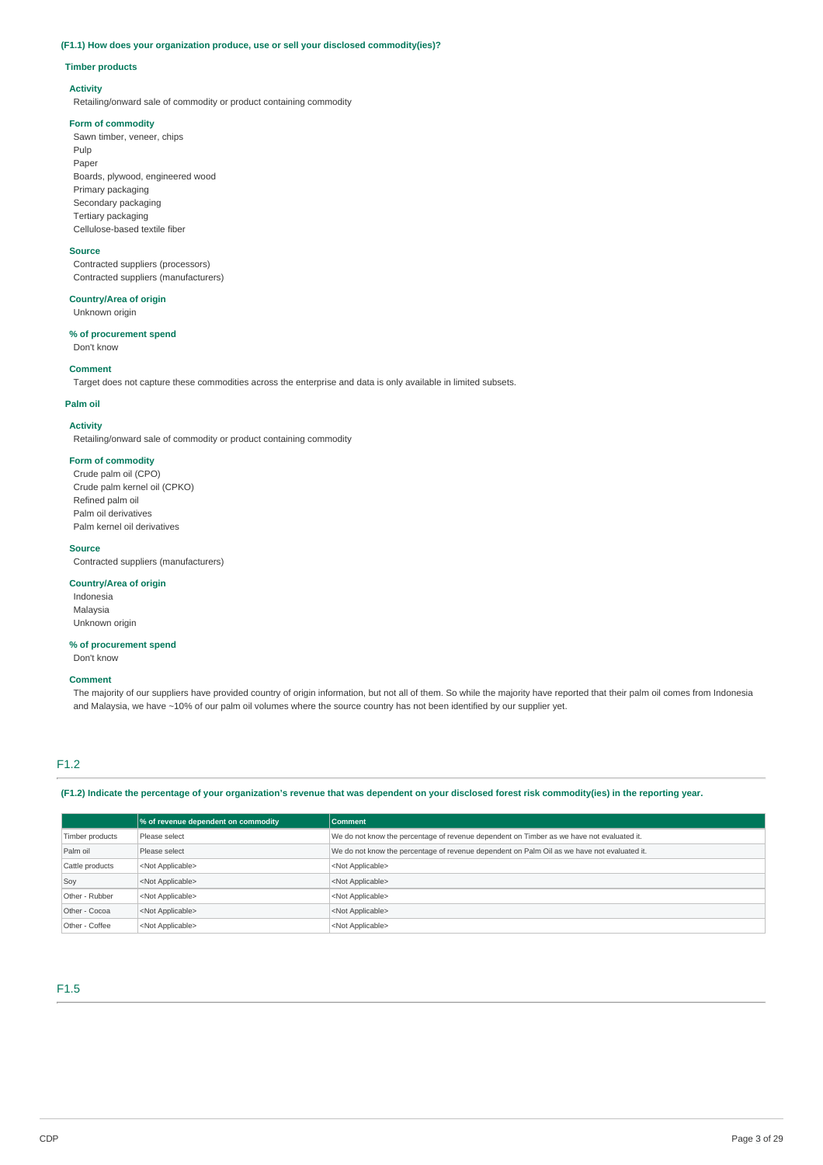# **(F1.1) How does your organization produce, use or sell your disclosed commodity(ies)?**

### **Timber products**

# **Activity**

Retailing/onward sale of commodity or product containing commodity

## **Form of commodity**

Sawn timber, veneer, chips Pulp Paper Boards, plywood, engineered wood Primary packaging Secondary packaging Tertiary packaging Cellulose-based textile fiber

#### **Source**

Contracted suppliers (processors) Contracted suppliers (manufacturers)

# **Country/Area of origin**

Unknown origin

## **% of procurement spend**

Don't know

## **Comment**

Target does not capture these commodities across the enterprise and data is only available in limited subsets.

### **Palm oil**

#### **Activity**

Retailing/onward sale of commodity or product containing commodity

# **Form of commodity**

Crude palm oil (CPO) Crude palm kernel oil (CPKO) Refined palm oil Palm oil derivatives Palm kernel oil derivatives

#### **Source**

Contracted suppliers (manufacturers)

## **Country/Area of origin**

Indonesia Malaysia Unknown origin

# **% of procurement spend**

Don't know

# **Comment**

The majority of our suppliers have provided country of origin information, but not all of them. So while the majority have reported that their palm oil comes from Indonesia and Malaysia, we have ~10% of our palm oil volumes where the source country has not been identified by our supplier yet.

# F1.2

**(F1.2) Indicate the percentage of your organization's revenue that was dependent on your disclosed forest risk commodity(ies) in the reporting year.** 

|                 | % of revenue dependent on commodity | <b>Comment</b>                                                                              |
|-----------------|-------------------------------------|---------------------------------------------------------------------------------------------|
| Timber products | Please select                       | We do not know the percentage of revenue dependent on Timber as we have not evaluated it.   |
| Palm oil        | Please select                       | We do not know the percentage of revenue dependent on Palm Oil as we have not evaluated it. |
| Cattle products | <not applicable=""></not>           | <not applicable=""></not>                                                                   |
| Soy             | <not applicable=""></not>           | <not applicable=""></not>                                                                   |
| Other - Rubber  | <not applicable=""></not>           | <not applicable=""></not>                                                                   |
| Other - Cocoa   | <not applicable=""></not>           | <not applicable=""></not>                                                                   |
| Other - Coffee  | <not applicable=""></not>           | <not applicable=""></not>                                                                   |

# F1.5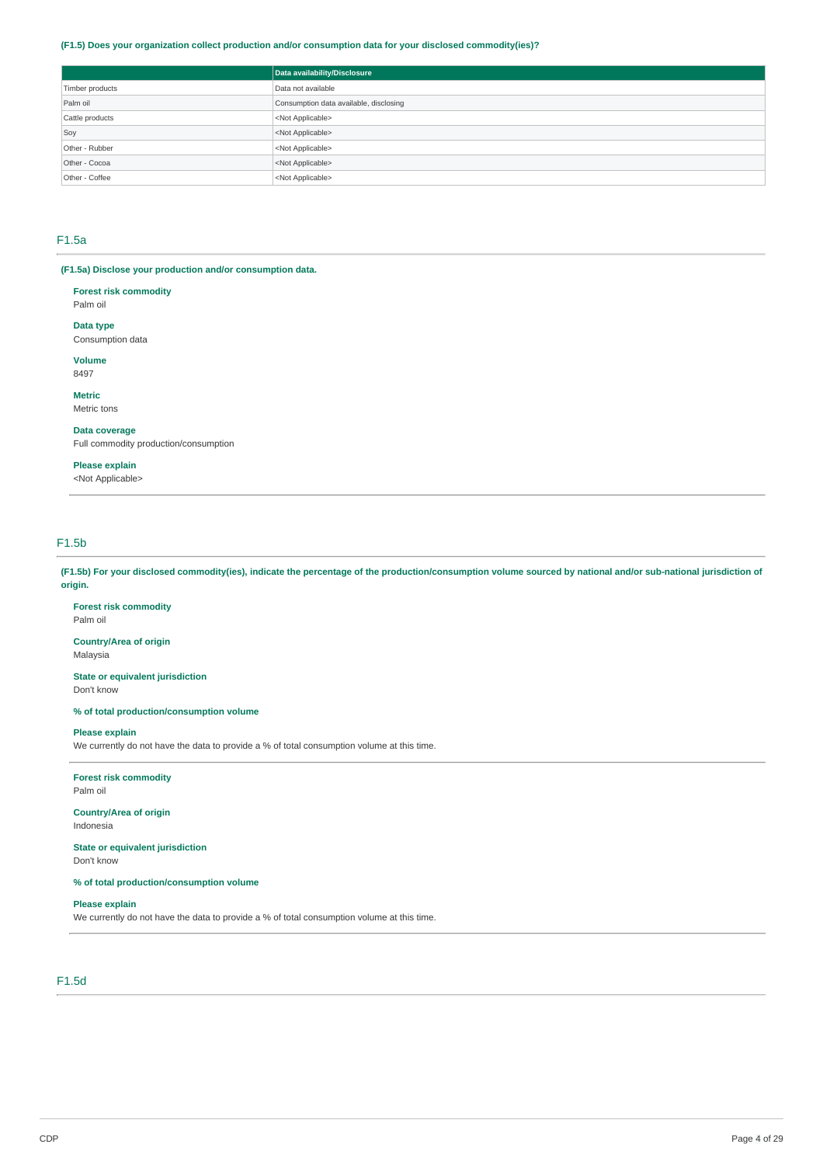## **(F1.5) Does your organization collect production and/or consumption data for your disclosed commodity(ies)?**

|                 | Data availability/Disclosure           |
|-----------------|----------------------------------------|
| Timber products | Data not available                     |
| Palm oil        | Consumption data available, disclosing |
| Cattle products | <not applicable=""></not>              |
| Soy             | <not applicable=""></not>              |
| Other - Rubber  | <not applicable=""></not>              |
| Other - Cocoa   | <not applicable=""></not>              |
| Other - Coffee  | <not applicable=""></not>              |

# F1.5a

**(F1.5a) Disclose your production and/or consumption data.** 

**Forest risk commodity**  Palm oil

**Data type** 

Consumption data

**Volume**  8497

**Metric** 

Metric tons

**Data coverage**  Full commodity production/consumption

**Please explain** 

<Not Applicable>

# F1.5b

Palm oil

Don't know

**(F1.5b) For your disclosed commodity(ies), indicate the percentage of the production/consumption volume sourced by national and/or sub-national jurisdiction of origin.** 

**Forest risk commodity** 

**Country/Area of origin**  Malaysia

**State or equivalent jurisdiction** 

**% of total production/consumption volume** 

**Please explain** 

We currently do not have the data to provide a % of total consumption volume at this time.

# **Forest risk commodity**

Palm oil

**Country/Area of origin**  Indonesia

**State or equivalent jurisdiction**  Don't know

**% of total production/consumption volume** 

## **Please explain**

We currently do not have the data to provide a % of total consumption volume at this time.

# F1.5d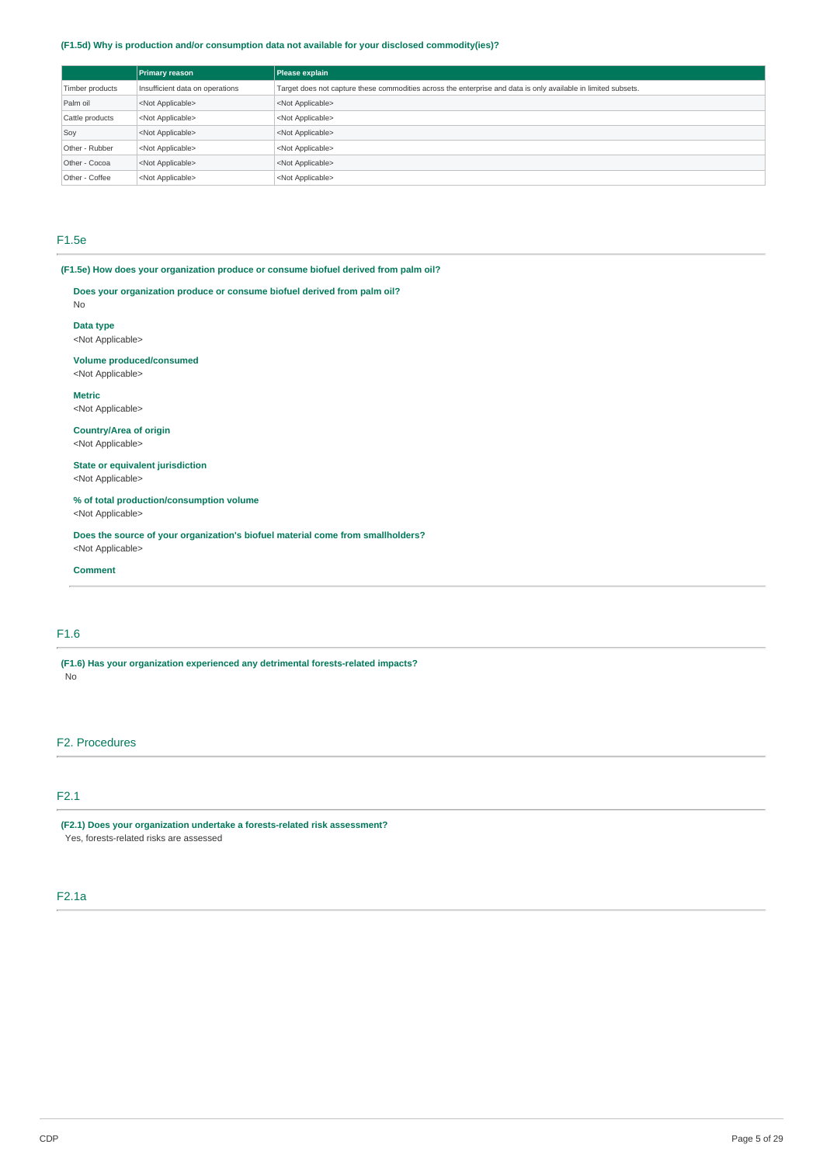## **(F1.5d) Why is production and/or consumption data not available for your disclosed commodity(ies)?**

|                                                    | <b>Primary reason</b>     | Please explain                                                                                                 |
|----------------------------------------------------|---------------------------|----------------------------------------------------------------------------------------------------------------|
| Insufficient data on operations<br>Timber products |                           | Target does not capture these commodities across the enterprise and data is only available in limited subsets. |
| Palm oil                                           | <not applicable=""></not> | <not applicable=""></not>                                                                                      |
| Cattle products                                    | <not applicable=""></not> | <not applicable=""></not>                                                                                      |
| Soy                                                | <not applicable=""></not> | <not applicable=""></not>                                                                                      |
| Other - Rubber                                     | <not applicable=""></not> | <not applicable=""></not>                                                                                      |
| Other - Cocoa                                      | <not applicable=""></not> | <not applicable=""></not>                                                                                      |
| Other - Coffee                                     | <not applicable=""></not> | <not applicable=""></not>                                                                                      |

# F1.5e

No

**(F1.5e) How does your organization produce or consume biofuel derived from palm oil?** 

**Does your organization produce or consume biofuel derived from palm oil?** 

**Data type**  <Not Applicable>

**Volume produced/consumed**  <Not Applicable>

**Metric**  <Not Applicable>

**Country/Area of origin**  <Not Applicable>

**State or equivalent jurisdiction**  <Not Applicable>

**% of total production/consumption volume**  <Not Applicable>

**Does the source of your organization's biofuel material come from smallholders?**  <Not Applicable>

### **Comment**

# F1.6

**(F1.6) Has your organization experienced any detrimental forests-related impacts?**  .<br>No

# F2. Procedures

# F2.1

**(F2.1) Does your organization undertake a forests-related risk assessment?**  Yes, forests-related risks are assessed

# F2.1a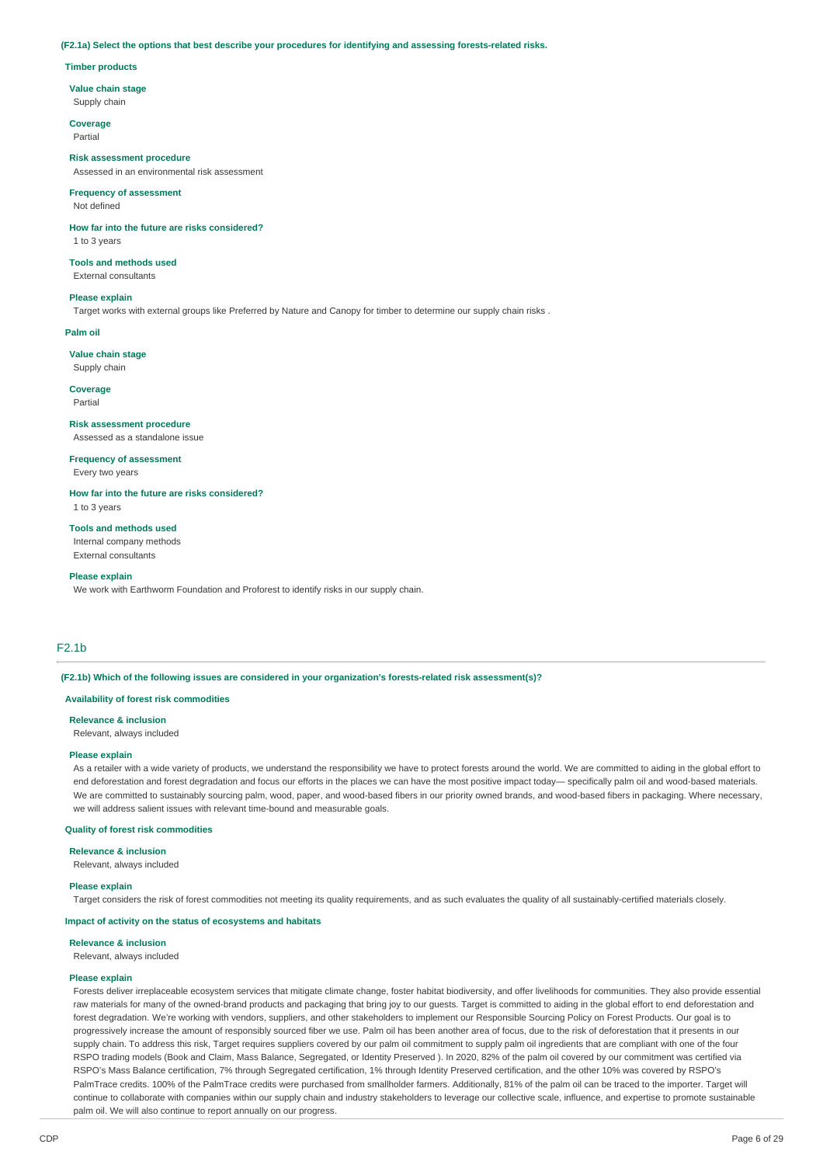#### **(F2.1a) Select the options that best describe your procedures for identifying and assessing forests-related risks.**

#### **Timber products**

#### **Value chain stage**

Supply chain

**Coverage**  Partial

**Risk assessment procedure**  Assessed in an environmental risk assessment

# **Frequency of assessment**

Not defined

#### **How far into the future are risks considered?**  1 to 3 years

**Tools and methods used**  External consultants

#### **Please explain**

Target works with external groups like Preferred by Nature and Canopy for timber to determine our supply chain risks .

#### **Palm oil**

**Value chain stage**  Supply chain

**Coverage**  Partial

# **Risk assessment procedure**

Assessed as a standalone issue

#### **Frequency of assessment**  Every two years

**How far into the future are risks considered?**  1 to 3 years

**Tools and methods used**  Internal company methods External consultants

#### **Please explain**

We work with Earthworm Foundation and Proforest to identify risks in our supply chain.

# F2.1b

**(F2.1b) Which of the following issues are considered in your organization's forests-related risk assessment(s)?** 

#### **Availability of forest risk commodities**

#### **Relevance & inclusion**

Relevant, always included

#### **Please explain**

As a retailer with a wide variety of products, we understand the responsibility we have to protect forests around the world. We are committed to aiding in the global effort to end deforestation and forest degradation and focus our efforts in the places we can have the most positive impact today— specifically palm oil and wood-based materials. We are committed to sustainably sourcing palm, wood, paper, and wood-based fibers in our priority owned brands, and wood-based fibers in packaging. Where necessary, we will address salient issues with relevant time-bound and measurable goals.

#### **Quality of forest risk commodities**

**Relevance & inclusion** 

Relevant, always included

#### **Please explain**

Target considers the risk of forest commodities not meeting its quality requirements, and as such evaluates the quality of all sustainably-certified materials closely.

## **Impact of activity on the status of ecosystems and habitats**

#### **Relevance & inclusion**

Relevant, always included

### **Please explain**

Forests deliver irreplaceable ecosystem services that mitigate climate change, foster habitat biodiversity, and offer livelihoods for communities. They also provide essential raw materials for many of the owned-brand products and packaging that bring joy to our guests. Target is committed to aiding in the global effort to end deforestation and forest degradation. We're working with vendors, suppliers, and other stakeholders to implement our Responsible Sourcing Policy on Forest Products. Our goal is to progressively increase the amount of responsibly sourced fiber we use. Palm oil has been another area of focus, due to the risk of deforestation that it presents in our supply chain. To address this risk, Target requires suppliers covered by our palm oil commitment to supply palm oil ingredients that are compliant with one of the four RSPO trading models (Book and Claim, Mass Balance, Segregated, or Identity Preserved ). In 2020, 82% of the palm oil covered by our commitment was certified via RSPO's Mass Balance certification, 7% through Segregated certification, 1% through Identity Preserved certification, and the other 10% was covered by RSPO's PalmTrace credits. 100% of the PalmTrace credits were purchased from smallholder farmers. Additionally, 81% of the palm oil can be traced to the importer. Target will continue to collaborate with companies within our supply chain and industry stakeholders to leverage our collective scale, influence, and expertise to promote sustainable palm oil. We will also continue to report annually on our progress.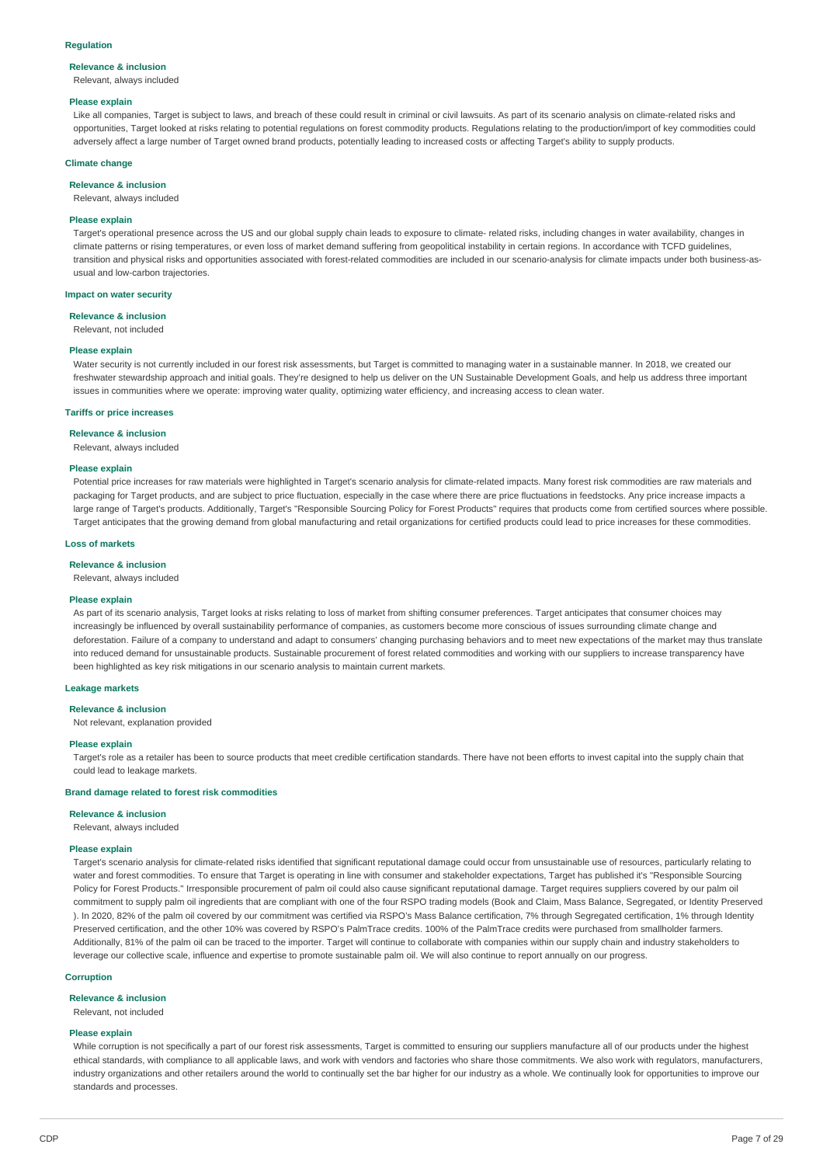#### **Regulation**

#### **Relevance & inclusion**

Relevant, always included

#### **Please explain**

Like all companies, Target is subject to laws, and breach of these could result in criminal or civil lawsuits. As part of its scenario analysis on climate-related risks and opportunities, Target looked at risks relating to potential regulations on forest commodity products. Regulations relating to the production/import of key commodities could adversely affect a large number of Target owned brand products, potentially leading to increased costs or affecting Target's ability to supply products.

### **Climate change**

#### **Relevance & inclusion**

Relevant, always included

#### **Please explain**

Target's operational presence across the US and our global supply chain leads to exposure to climate- related risks, including changes in water availability, changes in climate patterns or rising temperatures, or even loss of market demand suffering from geopolitical instability in certain regions. In accordance with TCFD guidelines, transition and physical risks and opportunities associated with forest-related commodities are included in our scenario-analysis for climate impacts under both business-asusual and low-carbon trajectories.

### **Impact on water security**

#### **Relevance & inclusion**

Relevant, not included

#### **Please explain**

Water security is not currently included in our forest risk assessments, but Target is committed to managing water in a sustainable manner. In 2018, we created our freshwater stewardship approach and initial goals. They're designed to help us deliver on the UN Sustainable Development Goals, and help us address three important issues in communities where we operate: improving water quality, optimizing water efficiency, and increasing access to clean water.

#### **Tariffs or price increases**

**Relevance & inclusion** 

Relevant, always included

#### **Please explain**

Potential price increases for raw materials were highlighted in Target's scenario analysis for climate-related impacts. Many forest risk commodities are raw materials and packaging for Target products, and are subject to price fluctuation, especially in the case where there are price fluctuations in feedstocks. Any price increase impacts a large range of Target's products. Additionally, Target's "Responsible Sourcing Policy for Forest Products" requires that products come from certified sources where possible. Target anticipates that the growing demand from global manufacturing and retail organizations for certified products could lead to price increases for these commodities.

## **Loss of markets**

**Relevance & inclusion** 

#### Relevant, always included

#### **Please explain**

As part of its scenario analysis, Target looks at risks relating to loss of market from shifting consumer preferences. Target anticipates that consumer choices may increasingly be influenced by overall sustainability performance of companies, as customers become more conscious of issues surrounding climate change and deforestation. Failure of a company to understand and adapt to consumers' changing purchasing behaviors and to meet new expectations of the market may thus translate into reduced demand for unsustainable products. Sustainable procurement of forest related commodities and working with our suppliers to increase transparency have been highlighted as key risk mitigations in our scenario analysis to maintain current markets.

### **Leakage markets**

#### **Relevance & inclusion**

Not relevant, explanation provided

#### **Please explain**

Target's role as a retailer has been to source products that meet credible certification standards. There have not been efforts to invest capital into the supply chain that could lead to leakage markets.

## **Brand damage related to forest risk commodities**

#### **Relevance & inclusion**

Relevant, always included

#### **Please explain**

Target's scenario analysis for climate-related risks identified that significant reputational damage could occur from unsustainable use of resources, particularly relating to water and forest commodities. To ensure that Target is operating in line with consumer and stakeholder expectations. Target has published it's "Responsible Sourcing Policy for Forest Products." Irresponsible procurement of palm oil could also cause significant reputational damage. Target requires suppliers covered by our palm oil commitment to supply palm oil ingredients that are compliant with one of the four RSPO trading models (Book and Claim, Mass Balance, Segregated, or Identity Preserved ). In 2020, 82% of the palm oil covered by our commitment was certified via RSPO's Mass Balance certification, 7% through Segregated certification, 1% through Identity Preserved certification, and the other 10% was covered by RSPO's PalmTrace credits. 100% of the PalmTrace credits were purchased from smallholder farmers. Additionally, 81% of the palm oil can be traced to the importer. Target will continue to collaborate with companies within our supply chain and industry stakeholders to leverage our collective scale, influence and expertise to promote sustainable palm oil. We will also continue to report annually on our progress.

#### **Corruption**

#### **Relevance & inclusion**

#### Relevant, not included

#### **Please explain**

While corruption is not specifically a part of our forest risk assessments, Target is committed to ensuring our suppliers manufacture all of our products under the highest ethical standards, with compliance to all applicable laws, and work with vendors and factories who share those commitments. We also work with regulators, manufacturers, industry organizations and other retailers around the world to continually set the bar higher for our industry as a whole. We continually look for opportunities to improve our standards and processes.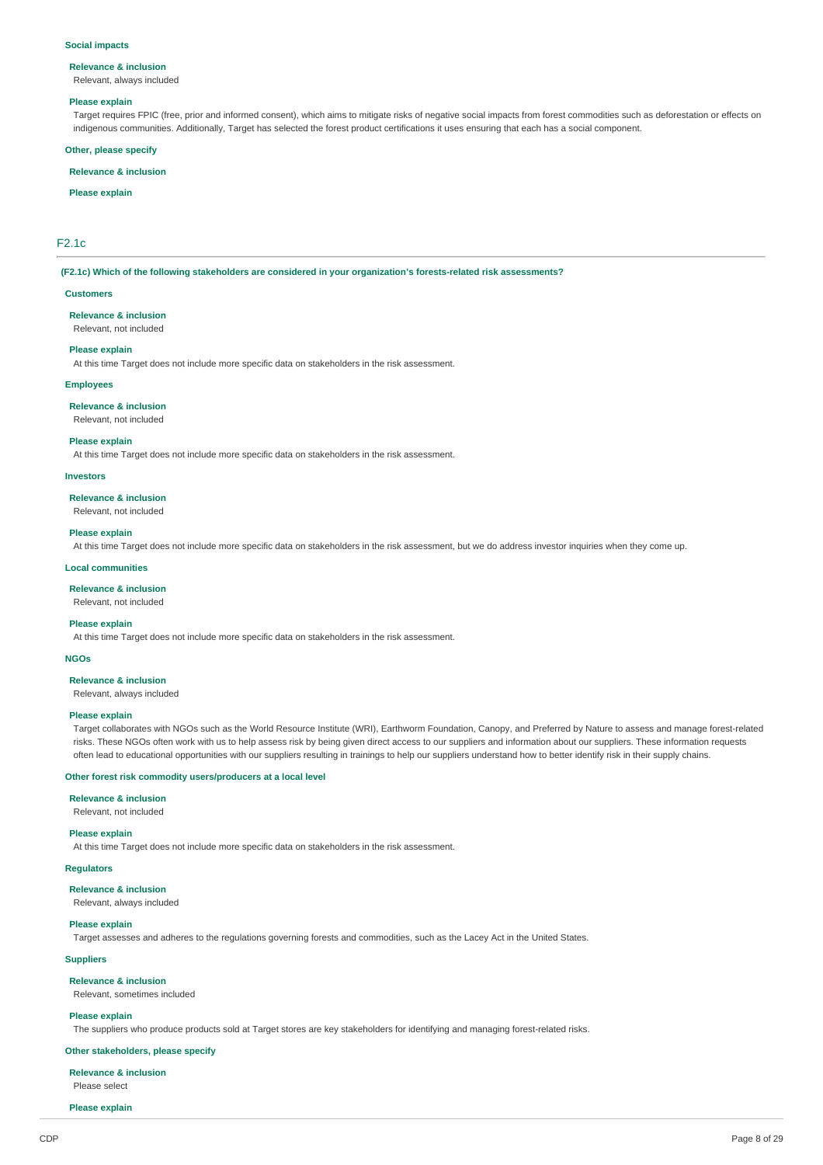#### **Social impacts**

# **Relevance & inclusion**

# Relevant, always included

#### **Please explain**

Target requires FPIC (free, prior and informed consent), which aims to mitigate risks of negative social impacts from forest commodities such as deforestation or effects on indigenous communities. Additionally, Target has selected the forest product certifications it uses ensuring that each has a social component.

#### **Other, please specify**

### **Relevance & inclusion**

#### **Please explain**

## F2.1c

**(F2.1c) Which of the following stakeholders are considered in your organization's forests-related risk assessments?** 

#### **Customers**

**Relevance & inclusion** 

Relevant, not included

# **Please explain**

At this time Target does not include more specific data on stakeholders in the risk assessment.

### **Employees**

**Relevance & inclusion** 

Relevant, not included

#### **Please explain**

At this time Target does not include more specific data on stakeholders in the risk assessment.

#### **Investors**

**Relevance & inclusion** 

Relevant, not included

#### **Please explain**

At this time Target does not include more specific data on stakeholders in the risk assessment, but we do address investor inquiries when they come up.

#### **Local communities**

**Relevance & inclusion** 

## Relevant, not included

### **Please explain**

At this time Target does not include more specific data on stakeholders in the risk assessment.

#### **NGOs**

**Relevance & inclusion** 

### Relevant, always included

#### **Please explain**

Target collaborates with NGOs such as the World Resource Institute (WRI), Earthworm Foundation, Canopy, and Preferred by Nature to assess and manage forest-related risks. These NGOs often work with us to help assess risk by being given direct access to our suppliers and information about our suppliers. These information requests often lead to educational opportunities with our suppliers resulting in trainings to help our suppliers understand how to better identify risk in their supply chains.

### **Other forest risk commodity users/producers at a local level**

#### **Relevance & inclusion**

Relevant, not included

#### **Please explain**

At this time Target does not include more specific data on stakeholders in the risk assessment.

# **Regulators**

### **Relevance & inclusion**

Relevant, always included

#### **Please explain**

Target assesses and adheres to the regulations governing forests and commodities, such as the Lacey Act in the United States.

## **Suppliers**

#### **Relevance & inclusion**

Relevant, sometimes included

#### **Please explain**

The suppliers who produce products sold at Target stores are key stakeholders for identifying and managing forest-related risks.

## **Other stakeholders, please specify**

# **Relevance & inclusion**

Please select

**Please explain**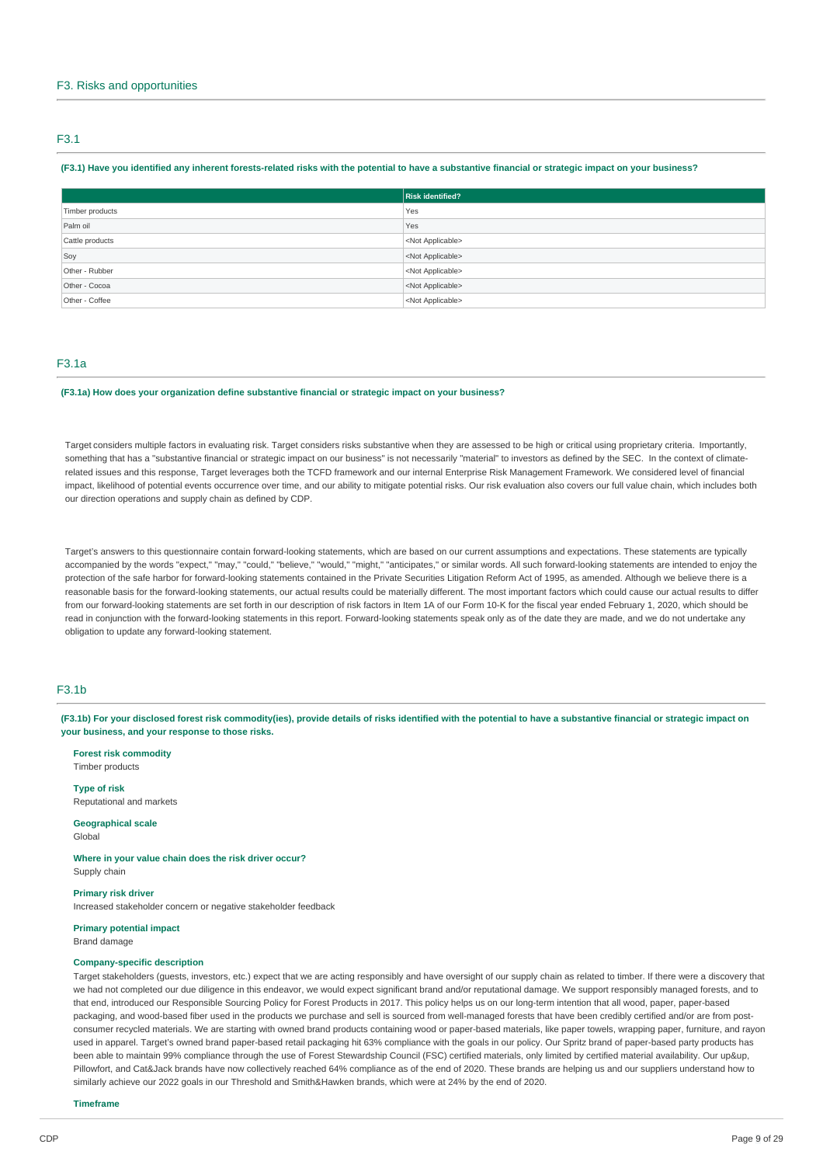# F3. Risks and opportunities

## F3.1

## **(F3.1) Have you identified any inherent forests-related risks with the potential to have a substantive financial or strategic impact on your business?**

|                 | Risk identified?          |
|-----------------|---------------------------|
| Timber products | Yes                       |
| Palm oil        | Yes                       |
| Cattle products | <not applicable=""></not> |
| Soy             | <not applicable=""></not> |
| Other - Rubber  | <not applicable=""></not> |
| Other - Cocoa   | <not applicable=""></not> |
| Other - Coffee  | <not applicable=""></not> |

# F3.1a

## **(F3.1a) How does your organization define substantive financial or strategic impact on your business?**

Target considers multiple factors in evaluating risk. Target considers risks substantive when they are assessed to be high or critical using proprietary criteria. Importantly, something that has a "substantive financial or strategic impact on our business" is not necessarily "material" to investors as defined by the SEC. In the context of climaterelated issues and this response, Target leverages both the TCFD framework and our internal Enterprise Risk Management Framework. We considered level of financial impact, likelihood of potential events occurrence over time, and our ability to mitigate potential risks. Our risk evaluation also covers our full value chain, which includes both our direction operations and supply chain as defined by CDP.

Target's answers to this questionnaire contain forward-looking statements, which are based on our current assumptions and expectations. These statements are typically accompanied by the words "expect," "may," "could," "believe," "would," "might," "anticipates," or similar words. All such forward-looking statements are intended to enjoy the protection of the safe harbor for forward-looking statements contained in the Private Securities Litigation Reform Act of 1995, as amended. Although we believe there is a reasonable basis for the forward-looking statements, our actual results could be materially different. The most important factors which could cause our actual results to differ from our forward-looking statements are set forth in our description of risk factors in Item 1A of our Form 10-K for the fiscal year ended February 1, 2020, which should be read in conjunction with the forward-looking statements in this report. Forward-looking statements speak only as of the date they are made, and we do not undertake any obligation to update any forward-looking statement.

# F3.1b

**(F3.1b) For your disclosed forest risk commodity(ies), provide details of risks identified with the potential to have a substantive financial or strategic impact on your business, and your response to those risks.** 

**Forest risk commodity**  Timber products

**Type of risk**  Reputational and markets

**Geographical scale**  Global

**Where in your value chain does the risk driver occur?**  Supply chain

#### **Primary risk driver**

Increased stakeholder concern or negative stakeholder feedback

**Primary potential impact**  Brand damage

#### **Company-specific description**

Target stakeholders (guests, investors, etc.) expect that we are acting responsibly and have oversight of our supply chain as related to timber. If there were a discovery that we had not completed our due diligence in this endeavor, we would expect significant brand and/or reputational damage. We support responsibly managed forests, and to that end, introduced our Responsible Sourcing Policy for Forest Products in 2017. This policy helps us on our long-term intention that all wood, paper, paper-based packaging, and wood-based fiber used in the products we purchase and sell is sourced from well-managed forests that have been credibly certified and/or are from postconsumer recycled materials. We are starting with owned brand products containing wood or paper-based materials, like paper towels, wrapping paper, furniture, and rayon used in apparel. Target's owned brand paper-based retail packaging hit 63% compliance with the goals in our policy. Our Spritz brand of paper-based party products has been able to maintain 99% compliance through the use of Forest Stewardship Council (FSC) certified materials, only limited by certified material availability. Our up&up, Pillowfort. and Cat&Jack brands have now collectively reached 64% compliance as of the end of 2020. These brands are helping us and our suppliers understand how to similarly achieve our 2022 goals in our Threshold and Smith&Hawken brands, which were at 24% by the end of 2020.

**Timeframe**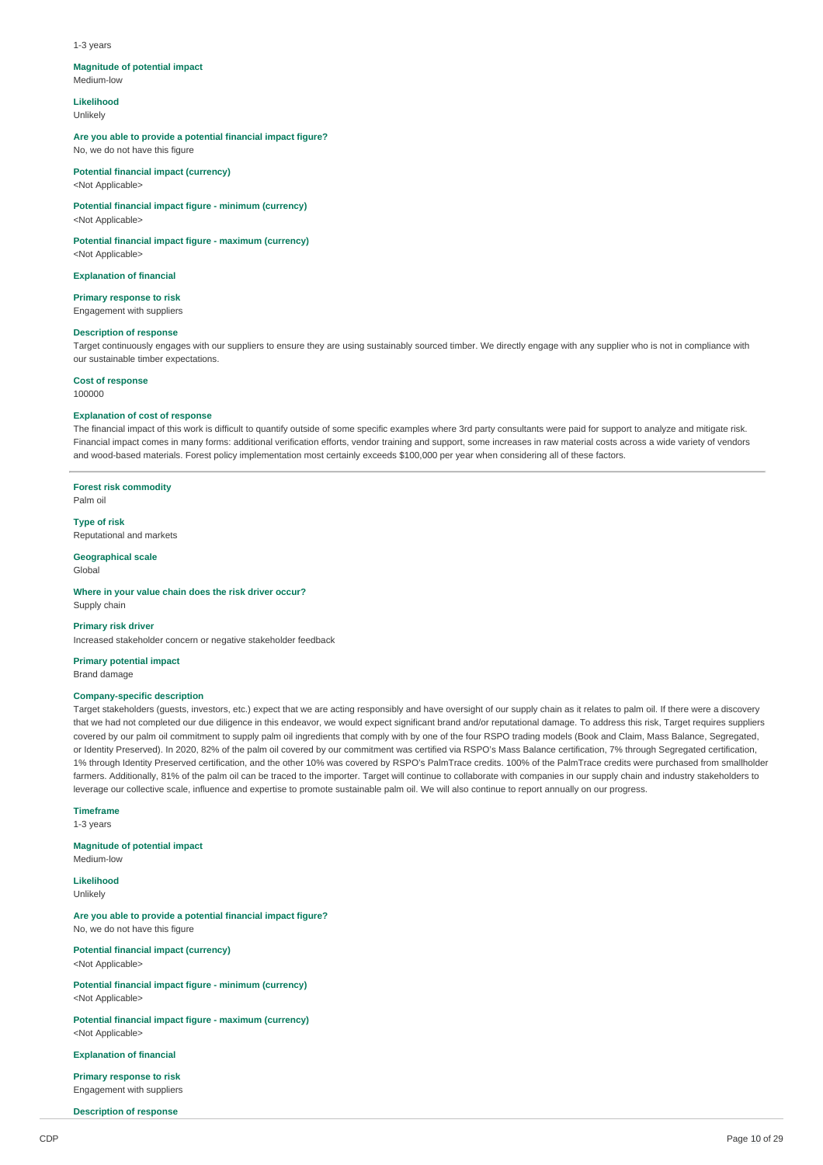#### 1-3 years

#### **Magnitude of potential impact**

Medium-low

**Likelihood** 

Unlikely

### **Are you able to provide a potential financial impact figure?**

No, we do not have this figure

#### **Potential financial impact (currency)**  <Not Applicable>

**Potential financial impact figure - minimum (currency)**  <Not Applicable>

**Potential financial impact figure - maximum (currency)** 

<Not Applicable>

**Explanation of financial** 

**Primary response to risk**  Engagement with suppliers

#### **Description of response**

Target continuously engages with our suppliers to ensure they are using sustainably sourced timber. We directly engage with any supplier who is not in compliance with our sustainable timber expectations.

#### **Cost of response**

100000

### **Explanation of cost of response**

The financial impact of this work is difficult to quantify outside of some specific examples where 3rd party consultants were paid for support to analyze and mitigate risk. Financial impact comes in many forms: additional verification efforts, vendor training and support, some increases in raw material costs across a wide variety of vendors and wood-based materials. Forest policy implementation most certainly exceeds \$100,000 per year when considering all of these factors.

**Forest risk commodity**  Palm oil

**Type of risk**  Reputational and markets

**Geographical scale** 

Global

**Where in your value chain does the risk driver occur?**  Supply chain

#### **Primary risk driver**

Increased stakeholder concern or negative stakeholder feedback

# **Primary potential impact**

Brand damage

# **Company-specific description**

Target stakeholders (guests, investors, etc.) expect that we are acting responsibly and have oversight of our supply chain as it relates to palm oil. If there were a discovery that we had not completed our due diligence in this endeavor, we would expect significant brand and/or reputational damage. To address this risk, Target requires suppliers covered by our palm oil commitment to supply palm oil ingredients that comply with by one of the four RSPO trading models (Book and Claim, Mass Balance, Segregated, or Identity Preserved). In 2020, 82% of the palm oil covered by our commitment was certified via RSPO's Mass Balance certification, 7% through Segregated certification, 1% through Identity Preserved certification, and the other 10% was covered by RSPO's PalmTrace credits. 100% of the PalmTrace credits were purchased from smallholder farmers. Additionally, 81% of the palm oil can be traced to the importer. Target will continue to collaborate with companies in our supply chain and industry stakeholders to leverage our collective scale, influence and expertise to promote sustainable palm oil. We will also continue to report annually on our progress.

## **Timeframe**

1-3 years

**Magnitude of potential impact**  Medium-low

**Likelihood**  Unlikely

**Are you able to provide a potential financial impact figure?**  No, we do not have this figure

**Potential financial impact (currency)**  <Not Applicable>

**Potential financial impact figure - minimum (currency)**  <Not Applicable>

**Potential financial impact figure - maximum (currency)**  <Not Applicable>

**Explanation of financial** 

**Primary response to risk**  Engagement with suppliers

**Description of response**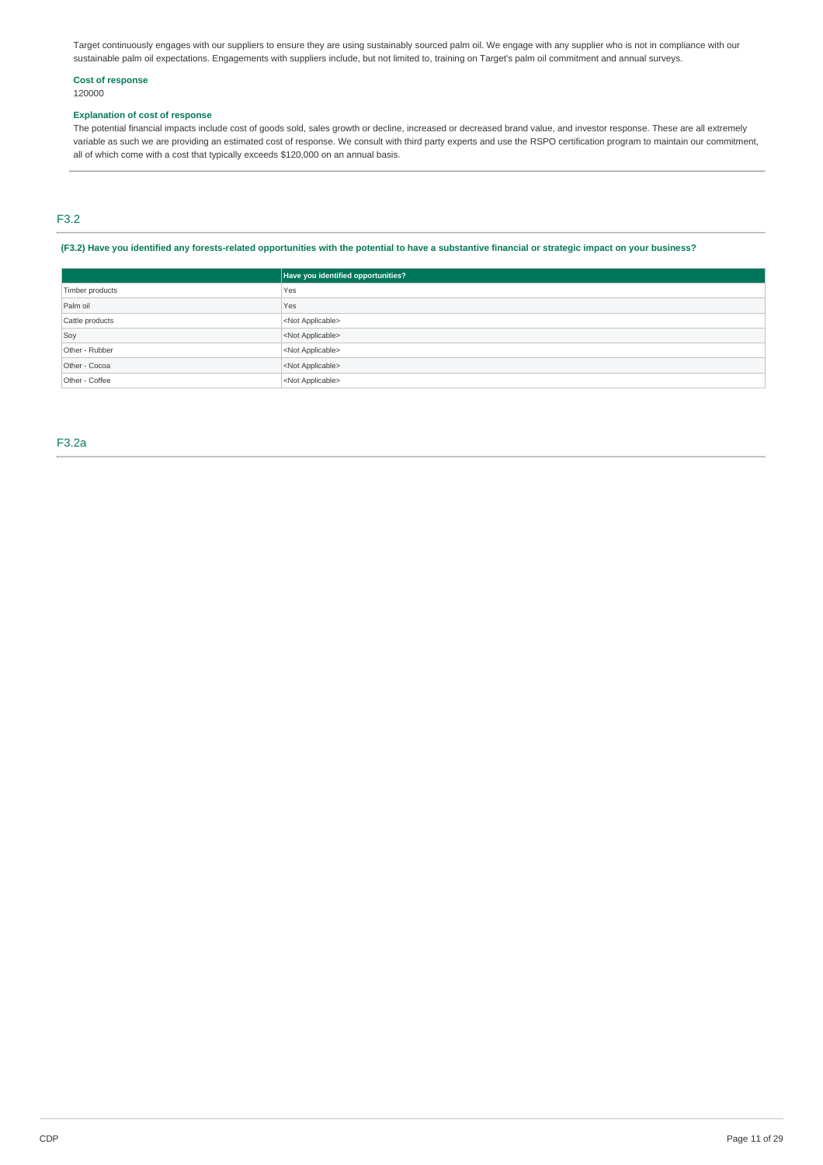Target continuously engages with our suppliers to ensure they are using sustainably sourced palm oil. We engage with any supplier who is not in compliance with our sustainable palm oil expectations. Engagements with suppliers include, but not limited to, training on Target's palm oil commitment and annual surveys.

## **Cost of response**  120000

### **Explanation of cost of response**

The potential financial impacts include cost of goods sold, sales growth or decline, increased or decreased brand value, and investor response. These are all extremely variable as such we are providing an estimated cost of response. We consult with third party experts and use the RSPO certification program to maintain our commitment, all of which come with a cost that typically exceeds \$120,000 on an annual basis.

# F3.2

**(F3.2) Have you identified any forests-related opportunities with the potential to have a substantive financial or strategic impact on your business?** 

|                 | Have you identified opportunities? |
|-----------------|------------------------------------|
| Timber products | Yes                                |
| Palm oil        | Yes                                |
| Cattle products | <not applicable=""></not>          |
| Soy             | <not applicable=""></not>          |
| Other - Rubber  | <not applicable=""></not>          |
| Other - Cocoa   | <not applicable=""></not>          |
| Other - Coffee  | <not applicable=""></not>          |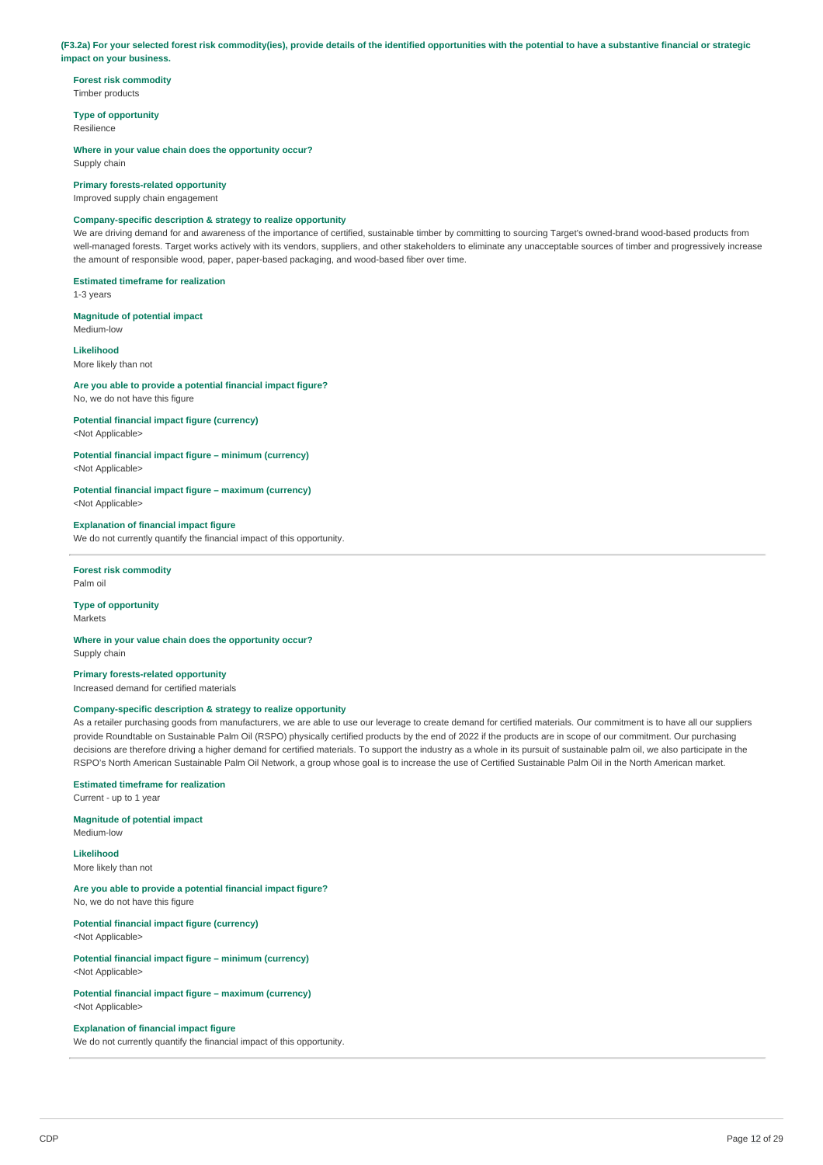#### **(F3.2a) For your selected forest risk commodity(ies), provide details of the identified opportunities with the potential to have a substantive financial or strategic impact on your business.**

**Forest risk commodity**  Timber products

**Type of opportunity**  Resilience

**Where in your value chain does the opportunity occur?**  Supply chain

**Primary forests-related opportunity** 

Improved supply chain engagement

# **Company-specific description & strategy to realize opportunity**

We are driving demand for and awareness of the importance of certified, sustainable timber by committing to sourcing Target's owned-brand wood-based products from well-managed forests. Target works actively with its vendors, suppliers, and other stakeholders to eliminate any unacceptable sources of timber and progressively increase the amount of responsible wood, paper, paper-based packaging, and wood-based fiber over time.

## **Estimated timeframe for realization**

1-3 years

# **Magnitude of potential impact**

Medium-low

# **Likelihood**

More likely than not

# **Are you able to provide a potential financial impact figure?**

No, we do not have this figure

**Potential financial impact figure (currency)**  <Not Applicable>

## **Potential financial impact figure – minimum (currency)**

<Not Applicable>

**Potential financial impact figure – maximum (currency)**  <Not Applicable>

### **Explanation of financial impact figure**

We do not currently quantify the financial impact of this opportunity.

#### **Forest risk commodity**  Palm oil

**Type of opportunity**  Markets

**Where in your value chain does the opportunity occur?**  Supply chain

**Primary forests-related opportunity**  Increased demand for certified materials

## **Company-specific description & strategy to realize opportunity**

As a retailer purchasing goods from manufacturers, we are able to use our leverage to create demand for certified materials. Our commitment is to have all our suppliers provide Roundtable on Sustainable Palm Oil (RSPO) physically certified products by the end of 2022 if the products are in scope of our commitment. Our purchasing decisions are therefore driving a higher demand for certified materials. To support the industry as a whole in its pursuit of sustainable palm oil, we also participate in the RSPO's North American Sustainable Palm Oil Network, a group whose goal is to increase the use of Certified Sustainable Palm Oil in the North American market.

# **Estimated timeframe for realization**

Current - up to 1 year

### **Magnitude of potential impact**

Medium-low

**Likelihood**  More likely than not

## **Are you able to provide a potential financial impact figure?**  No, we do not have this figure

**Potential financial impact figure (currency)**  <Not Applicable>

**Potential financial impact figure – minimum (currency)**  <Not Applicable>

**Potential financial impact figure – maximum (currency)**  <Not Applicable>

**Explanation of financial impact figure**  We do not currently quantify the financial impact of this opportunity.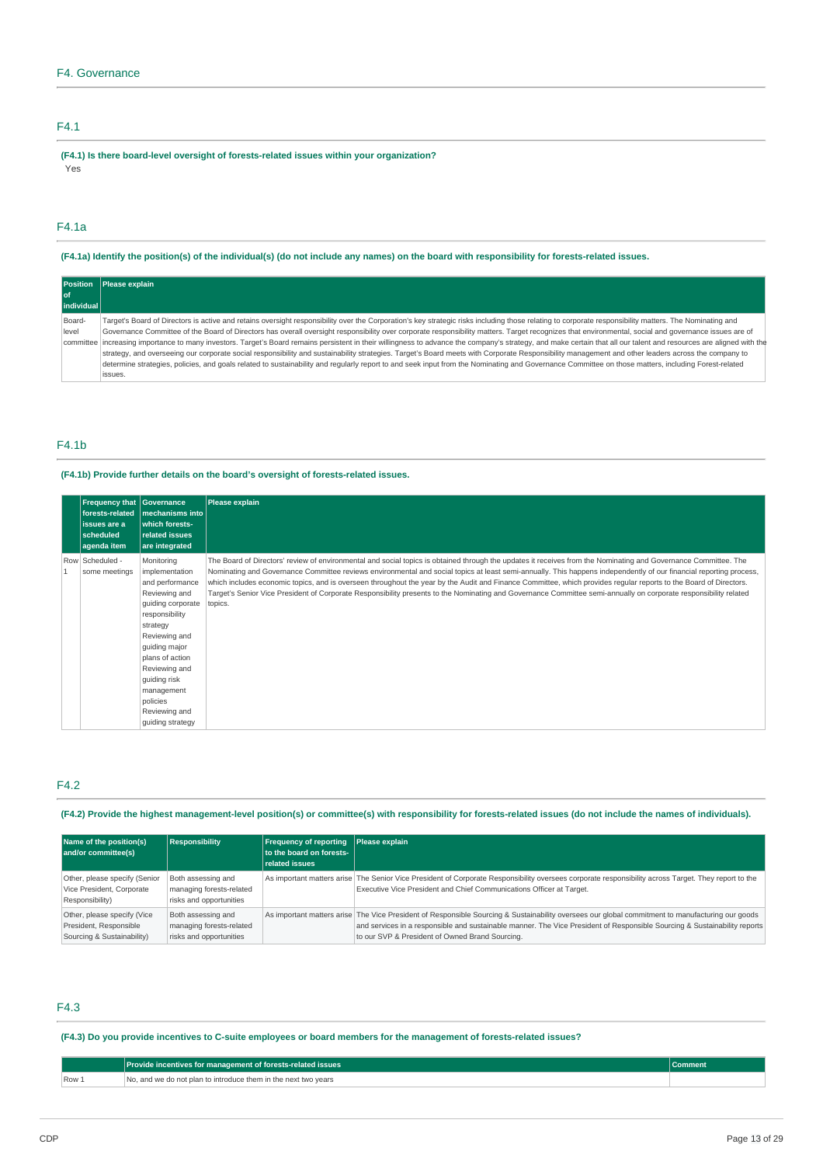# F4.1

**(F4.1) Is there board-level oversight of forests-related issues within your organization?**  Yes

# F4.1a

**(F4.1a) Identify the position(s) of the individual(s) (do not include any names) on the board with responsibility for forests-related issues.** 

| <b>Position</b> | Please explain                                                                                                                                                                                                       |
|-----------------|----------------------------------------------------------------------------------------------------------------------------------------------------------------------------------------------------------------------|
| l of            |                                                                                                                                                                                                                      |
| individual      |                                                                                                                                                                                                                      |
| Board-          | Target's Board of Directors is active and retains oversight responsibility over the Corporation's key strategic risks including those relating to corporate responsibility matters. The Nominating and               |
| level           | Governance Committee of the Board of Directors has overall oversight responsibility over corporate responsibility matters. Target recognizes that environmental, social and governance issues are of                 |
|                 | committee increasing importance to many investors. Target's Board remains persistent in their willingness to advance the company's strategy, and make certain that all our talent and resources are aligned with the |
|                 | strategy, and overseeing our corporate social responsibility and sustainability strategies. Target's Board meets with Corporate Responsibility management and other leaders across the company to                    |
|                 | determine strategies, policies, and goals related to sustainability and regularly report to and seek input from the Nominating and Governance Committee on those matters, including Forest-related                   |
|                 | issues.                                                                                                                                                                                                              |

# F4.1b

## **(F4.1b) Provide further details on the board's oversight of forests-related issues.**

| Frequency that Governance<br>forests-related<br>issues are a<br>scheduled<br>agenda item | mechanisms into<br>which forests-<br>related issues<br>are integrated                                                                                                                                                                                                    | Please explain                                                                                                                                                                                                                                                                                                                                                                                                                                                                                                                                                                                                                                                                            |
|------------------------------------------------------------------------------------------|--------------------------------------------------------------------------------------------------------------------------------------------------------------------------------------------------------------------------------------------------------------------------|-------------------------------------------------------------------------------------------------------------------------------------------------------------------------------------------------------------------------------------------------------------------------------------------------------------------------------------------------------------------------------------------------------------------------------------------------------------------------------------------------------------------------------------------------------------------------------------------------------------------------------------------------------------------------------------------|
| Row Scheduled -<br>some meetings                                                         | Monitoring<br>implementation<br>and performance<br>Reviewing and<br>guiding corporate<br>responsibility<br>strategy<br>Reviewing and<br>quiding major<br>plans of action<br>Reviewing and<br>guiding risk<br>management<br>policies<br>Reviewing and<br>quiding strategy | The Board of Directors' review of environmental and social topics is obtained through the updates it receives from the Nominating and Governance Committee. The<br>Nominating and Governance Committee reviews environmental and social topics at least semi-annually. This happens independently of our financial reporting process,<br>which includes economic topics, and is overseen throughout the year by the Audit and Finance Committee, which provides regular reports to the Board of Directors.<br>Target's Senior Vice President of Corporate Responsibility presents to the Nominating and Governance Committee semi-annually on corporate responsibility related<br>topics. |

# F4.2

**(F4.2) Provide the highest management-level position(s) or committee(s) with responsibility for forests-related issues (do not include the names of individuals).** 

| Name of the position(s)<br>and/or committee(s)                                      | <b>Responsibility</b>                                                     | <b>Frequency of reporting</b><br>to the board on forests-<br>related issues | Please explain                                                                                                                                                                                                                                                                                                                   |
|-------------------------------------------------------------------------------------|---------------------------------------------------------------------------|-----------------------------------------------------------------------------|----------------------------------------------------------------------------------------------------------------------------------------------------------------------------------------------------------------------------------------------------------------------------------------------------------------------------------|
| Other, please specify (Senior<br>Vice President, Corporate<br>Responsibility)       | Both assessing and<br>managing forests-related<br>risks and opportunities |                                                                             | As important matters arise The Senior Vice President of Corporate Responsibility oversees corporate responsibility across Target. They report to the<br>Executive Vice President and Chief Communications Officer at Target.                                                                                                     |
| Other, please specify (Vice<br>President, Responsible<br>Sourcing & Sustainability) | Both assessing and<br>managing forests-related<br>risks and opportunities |                                                                             | As important matters arise The Vice President of Responsible Sourcing & Sustainability oversees our global commitment to manufacturing our goods<br>and services in a responsible and sustainable manner. The Vice President of Responsible Sourcing & Sustainability reports<br>to our SVP & President of Owned Brand Sourcing. |

# F4.3

# **(F4.3) Do you provide incentives to C-suite employees or board members for the management of forests-related issues?**

|       | <b>Provide incentives for management of forests-related issues</b> | <b>Comment</b> |
|-------|--------------------------------------------------------------------|----------------|
| Row 1 | No, and we do not plan to introduce them in the next two years     |                |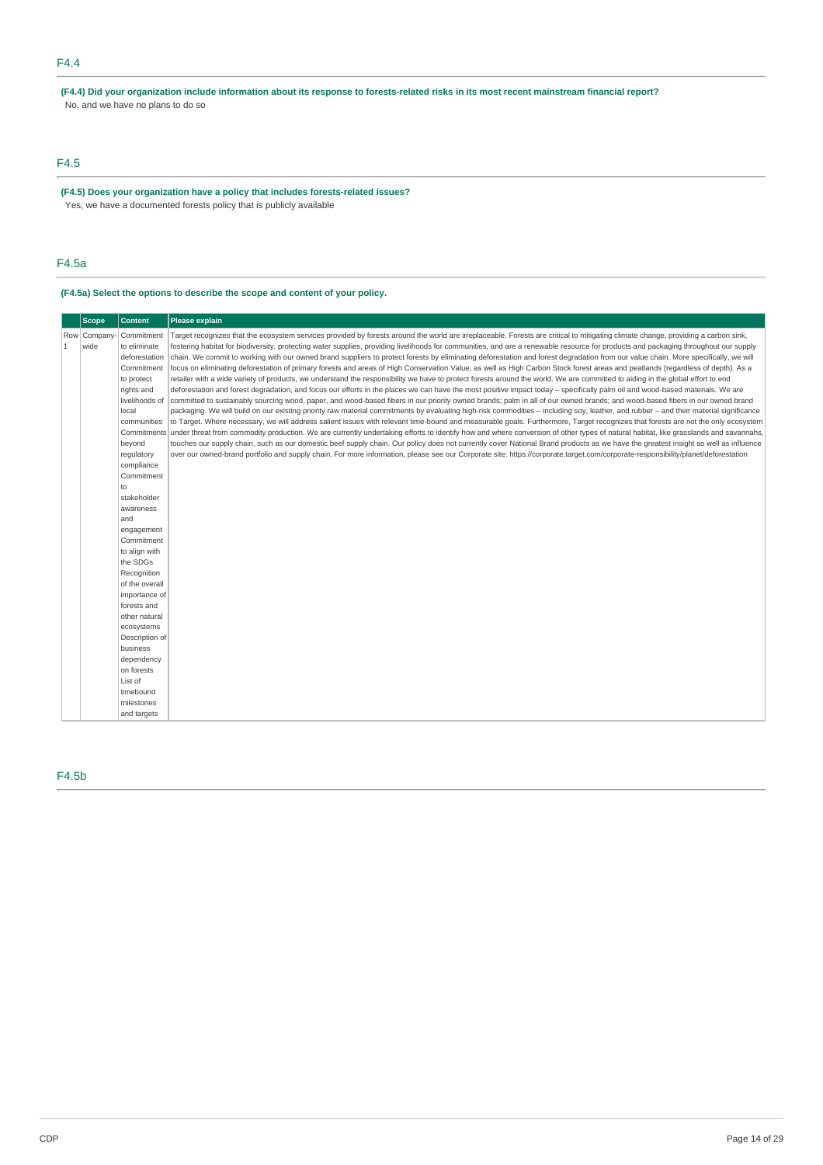**(F4.4) Did your organization include information about its response to forests-related risks in its most recent mainstream financial report?**  No, and we have no plans to do so

# F4.5

**(F4.5) Does your organization have a policy that includes forests-related issues?**  Yes, we have a documented forests policy that is publicly available

# F4.5a

# **(F4.5a) Select the options to describe the scope and content of your policy.**

F4.5b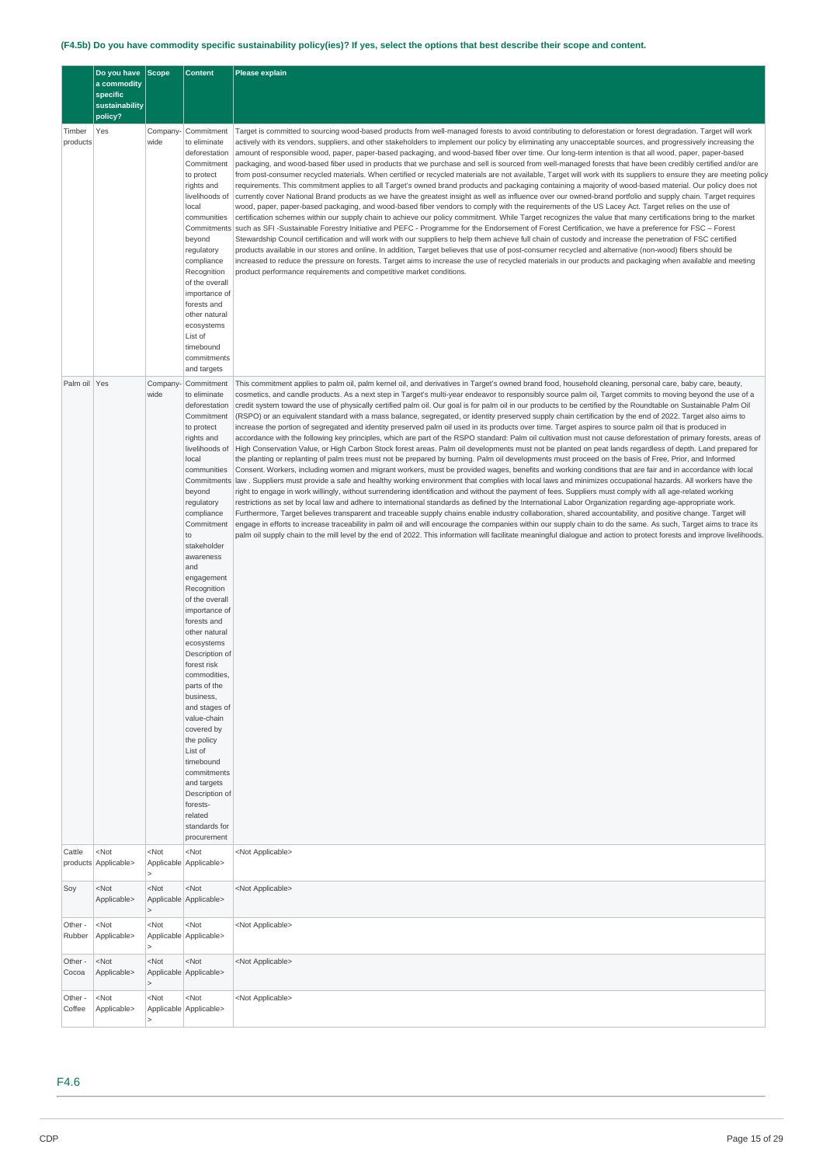# **(F4.5b) Do you have commodity specific sustainability policy(ies)? If yes, select the options that best describe their scope and content.**

|                    | Do you have<br>a commodity               | <b>Scope</b>      | <b>Content</b>                                                                                                                                                                                                                                                                                                                                                                                                                                                                                                                                                                                                       | Please explain                                                                                                                                                                                                                                                                                                                                                                                                                                                                                                                                                                                                                                                                                                                                                                                                                                                                                                                                                                                                                                                                                                                                                                                                                                                                                                                                                                                                                                                                                                                                                                                                                                                                                                                                                                                                                                                                                                                                                                                                                                                                                                                                                                                                                                                                                                               |
|--------------------|------------------------------------------|-------------------|----------------------------------------------------------------------------------------------------------------------------------------------------------------------------------------------------------------------------------------------------------------------------------------------------------------------------------------------------------------------------------------------------------------------------------------------------------------------------------------------------------------------------------------------------------------------------------------------------------------------|------------------------------------------------------------------------------------------------------------------------------------------------------------------------------------------------------------------------------------------------------------------------------------------------------------------------------------------------------------------------------------------------------------------------------------------------------------------------------------------------------------------------------------------------------------------------------------------------------------------------------------------------------------------------------------------------------------------------------------------------------------------------------------------------------------------------------------------------------------------------------------------------------------------------------------------------------------------------------------------------------------------------------------------------------------------------------------------------------------------------------------------------------------------------------------------------------------------------------------------------------------------------------------------------------------------------------------------------------------------------------------------------------------------------------------------------------------------------------------------------------------------------------------------------------------------------------------------------------------------------------------------------------------------------------------------------------------------------------------------------------------------------------------------------------------------------------------------------------------------------------------------------------------------------------------------------------------------------------------------------------------------------------------------------------------------------------------------------------------------------------------------------------------------------------------------------------------------------------------------------------------------------------------------------------------------------------|
|                    | specific                                 |                   |                                                                                                                                                                                                                                                                                                                                                                                                                                                                                                                                                                                                                      |                                                                                                                                                                                                                                                                                                                                                                                                                                                                                                                                                                                                                                                                                                                                                                                                                                                                                                                                                                                                                                                                                                                                                                                                                                                                                                                                                                                                                                                                                                                                                                                                                                                                                                                                                                                                                                                                                                                                                                                                                                                                                                                                                                                                                                                                                                                              |
|                    | sustainability                           |                   |                                                                                                                                                                                                                                                                                                                                                                                                                                                                                                                                                                                                                      |                                                                                                                                                                                                                                                                                                                                                                                                                                                                                                                                                                                                                                                                                                                                                                                                                                                                                                                                                                                                                                                                                                                                                                                                                                                                                                                                                                                                                                                                                                                                                                                                                                                                                                                                                                                                                                                                                                                                                                                                                                                                                                                                                                                                                                                                                                                              |
| Timber<br>products | policy?<br>Yes                           | Company-<br>wide  | Commitment<br>to eliminate<br>deforestation<br>Commitment<br>to protect<br>rights and<br>livelihoods of<br>local<br>communities<br>Commitments<br>beyond<br>regulatory<br>compliance<br>Recognition<br>of the overall<br>importance of<br>forests and<br>other natural<br>ecosystems<br>List of<br>timebound<br>commitments<br>and targets                                                                                                                                                                                                                                                                           | Target is committed to sourcing wood-based products from well-managed forests to avoid contributing to deforestation or forest degradation. Target will work<br>actively with its vendors, suppliers, and other stakeholders to implement our policy by eliminating any unacceptable sources, and progressively increasing the<br>amount of responsible wood, paper, paper-based packaging, and wood-based fiber over time. Our long-term intention is that all wood, paper, paper-based<br>packaging, and wood-based fiber used in products that we purchase and sell is sourced from well-managed forests that have been credibly certified and/or are<br>from post-consumer recycled materials. When certified or recycled materials are not available, Target will work with its suppliers to ensure they are meeting policy<br>requirements. This commitment applies to all Target's owned brand products and packaging containing a majority of wood-based material. Our policy does not<br>currently cover National Brand products as we have the greatest insight as well as influence over our owned-brand portfolio and supply chain. Target requires<br>wood, paper, paper-based packaging, and wood-based fiber vendors to comply with the requirements of the US Lacey Act. Target relies on the use of<br>certification schemes within our supply chain to achieve our policy commitment. While Target recognizes the value that many certifications bring to the market<br>such as SFI-Sustainable Forestry Initiative and PEFC - Programme for the Endorsement of Forest Certification, we have a preference for FSC - Forest<br>Stewardship Council certification and will work with our suppliers to help them achieve full chain of custody and increase the penetration of FSC certified<br>products available in our stores and online. In addition, Target believes that use of post-consumer recycled and alternative (non-wood) fibers should be<br>increased to reduce the pressure on forests. Target aims to increase the use of recycled materials in our products and packaging when available and meeting<br>product performance requirements and competitive market conditions.                                                                                                               |
| Palm oil Yes       |                                          | Company-          | Commitment                                                                                                                                                                                                                                                                                                                                                                                                                                                                                                                                                                                                           | This commitment applies to palm oil, palm kernel oil, and derivatives in Target's owned brand food, household cleaning, personal care, baby care, beauty,                                                                                                                                                                                                                                                                                                                                                                                                                                                                                                                                                                                                                                                                                                                                                                                                                                                                                                                                                                                                                                                                                                                                                                                                                                                                                                                                                                                                                                                                                                                                                                                                                                                                                                                                                                                                                                                                                                                                                                                                                                                                                                                                                                    |
|                    |                                          | wide              | to eliminate<br>deforestation<br>Commitment<br>to protect<br>rights and<br>livelihoods of<br>local<br>communities<br>Commitments<br>beyond<br>regulatory<br>compliance<br>Commitment<br>to<br>stakeholder<br>awareness<br>and<br>engagement<br>Recognition<br>of the overall<br>importance of<br>forests and<br>other natural<br>ecosystems<br>Description of<br>forest risk<br>commodities,<br>parts of the<br>business,<br>and stages of<br>value-chain<br>covered by<br>the policy<br>List of<br>timebound<br>commitments<br>and targets<br>Description of<br>forests-<br>related<br>standards for<br>procurement | cosmetics, and candle products. As a next step in Target's multi-year endeavor to responsibly source palm oil, Target commits to moving beyond the use of a<br>credit system toward the use of physically certified palm oil. Our goal is for palm oil in our products to be certified by the Roundtable on Sustainable Palm Oil<br>(RSPO) or an equivalent standard with a mass balance, segregated, or identity preserved supply chain certification by the end of 2022. Target also aims to<br>increase the portion of segregated and identity preserved palm oil used in its products over time. Target aspires to source palm oil that is produced in<br>accordance with the following key principles, which are part of the RSPO standard: Palm oil cultivation must not cause deforestation of primary forests, areas of<br>High Conservation Value, or High Carbon Stock forest areas. Palm oil developments must not be planted on peat lands regardless of depth. Land prepared for<br>the planting or replanting of palm trees must not be prepared by burning. Palm oil developments must proceed on the basis of Free, Prior, and Informed<br>Consent. Workers, including women and migrant workers, must be provided wages, benefits and working conditions that are fair and in accordance with local<br>law . Suppliers must provide a safe and healthy working environment that complies with local laws and minimizes occupational hazards. All workers have the<br>right to engage in work willingly, without surrendering identification and without the payment of fees. Suppliers must comply with all age-related working<br>restrictions as set by local law and adhere to international standards as defined by the International Labor Organization regarding age-appropriate work.<br>Furthermore, Target believes transparent and traceable supply chains enable industry collaboration, shared accountability, and positive change. Target will<br>engage in efforts to increase traceability in palm oil and will encourage the companies within our supply chain to do the same. As such, Target aims to trace its<br>palm oil supply chain to the mill level by the end of 2022. This information will facilitate meaningful dialogue and action to protect forests and improve livelihoods. |
| Cattle             | <not<br>products Applicable&gt;</not<br> | $<$ Not           | $<$ Not<br>Applicable Applicable>                                                                                                                                                                                                                                                                                                                                                                                                                                                                                                                                                                                    | <not applicable=""></not>                                                                                                                                                                                                                                                                                                                                                                                                                                                                                                                                                                                                                                                                                                                                                                                                                                                                                                                                                                                                                                                                                                                                                                                                                                                                                                                                                                                                                                                                                                                                                                                                                                                                                                                                                                                                                                                                                                                                                                                                                                                                                                                                                                                                                                                                                                    |
|                    |                                          | $\geq$            |                                                                                                                                                                                                                                                                                                                                                                                                                                                                                                                                                                                                                      |                                                                                                                                                                                                                                                                                                                                                                                                                                                                                                                                                                                                                                                                                                                                                                                                                                                                                                                                                                                                                                                                                                                                                                                                                                                                                                                                                                                                                                                                                                                                                                                                                                                                                                                                                                                                                                                                                                                                                                                                                                                                                                                                                                                                                                                                                                                              |
| Soy                | <not<br>Applicable&gt;</not<br>          | $<$ Not<br>$\geq$ | <not<br>Applicable Applicable&gt;</not<br>                                                                                                                                                                                                                                                                                                                                                                                                                                                                                                                                                                           | <not applicable=""></not>                                                                                                                                                                                                                                                                                                                                                                                                                                                                                                                                                                                                                                                                                                                                                                                                                                                                                                                                                                                                                                                                                                                                                                                                                                                                                                                                                                                                                                                                                                                                                                                                                                                                                                                                                                                                                                                                                                                                                                                                                                                                                                                                                                                                                                                                                                    |
| Other -<br>Rubber  | <not<br>Applicable&gt;</not<br>          | $<$ Not           | <not<br>Applicable Applicable&gt;</not<br>                                                                                                                                                                                                                                                                                                                                                                                                                                                                                                                                                                           | <not applicable=""></not>                                                                                                                                                                                                                                                                                                                                                                                                                                                                                                                                                                                                                                                                                                                                                                                                                                                                                                                                                                                                                                                                                                                                                                                                                                                                                                                                                                                                                                                                                                                                                                                                                                                                                                                                                                                                                                                                                                                                                                                                                                                                                                                                                                                                                                                                                                    |
| Other -<br>Cocoa   | $<$ Not<br>Applicable>                   | $<$ Not           | $<$ Not<br>Applicable Applicable>                                                                                                                                                                                                                                                                                                                                                                                                                                                                                                                                                                                    | <not applicable=""></not>                                                                                                                                                                                                                                                                                                                                                                                                                                                                                                                                                                                                                                                                                                                                                                                                                                                                                                                                                                                                                                                                                                                                                                                                                                                                                                                                                                                                                                                                                                                                                                                                                                                                                                                                                                                                                                                                                                                                                                                                                                                                                                                                                                                                                                                                                                    |
| Other -<br>Coffee  | $<$ Not<br>Applicable>                   | $<$ Not           | <not<br>Applicable Applicable&gt;</not<br>                                                                                                                                                                                                                                                                                                                                                                                                                                                                                                                                                                           | <not applicable=""></not>                                                                                                                                                                                                                                                                                                                                                                                                                                                                                                                                                                                                                                                                                                                                                                                                                                                                                                                                                                                                                                                                                                                                                                                                                                                                                                                                                                                                                                                                                                                                                                                                                                                                                                                                                                                                                                                                                                                                                                                                                                                                                                                                                                                                                                                                                                    |

# F4.6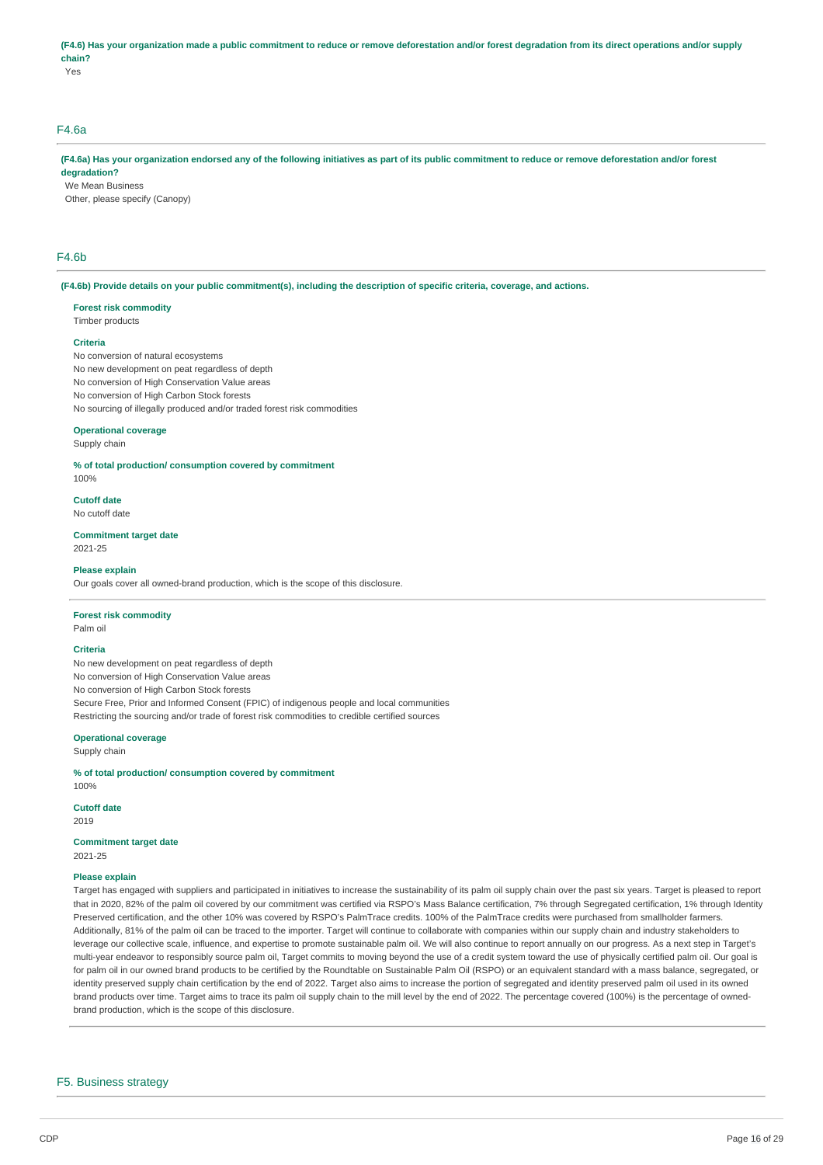# **(F4.6) Has your organization made a public commitment to reduce or remove deforestation and/or forest degradation from its direct operations and/or supply chain?**

Yes

# F4.6a

## **(F4.6a) Has your organization endorsed any of the following initiatives as part of its public commitment to reduce or remove deforestation and/or forest degradation?**

We Mean Business

Other, please specify (Canopy)

# F4.6b

#### **(F4.6b) Provide details on your public commitment(s), including the description of specific criteria, coverage, and actions.**

#### **Forest risk commodity**

Timber products

## **Criteria**

No conversion of natural ecosystems No new development on peat regardless of depth No conversion of High Conservation Value areas No conversion of High Carbon Stock forests No sourcing of illegally produced and/or traded forest risk commodities

# **Operational coverage**

Supply chain

**% of total production/ consumption covered by commitment**  100%

#### **Cutoff date**

No cutoff date

**Commitment target date**  2021-25

#### **Please explain**

Our goals cover all owned-brand production, which is the scope of this disclosure.

# **Forest risk commodity**

Palm oil

#### **Criteria**

No new development on peat regardless of depth No conversion of High Conservation Value areas No conversion of High Carbon Stock forests Secure Free, Prior and Informed Consent (FPIC) of indigenous people and local communities Restricting the sourcing and/or trade of forest risk commodities to credible certified sources

#### **Operational coverage**

Supply chain

**% of total production/ consumption covered by commitment** 

**Cutoff date** 

2019

**Commitment target date** 

2021-25

100%

## **Please explain**

Target has engaged with suppliers and participated in initiatives to increase the sustainability of its palm oil supply chain over the past six years. Target is pleased to report that in 2020, 82% of the palm oil covered by our commitment was certified via RSPO's Mass Balance certification, 7% through Segregated certification, 1% through Identity Preserved certification, and the other 10% was covered by RSPO's PalmTrace credits. 100% of the PalmTrace credits were purchased from smallholder farmers Additionally, 81% of the palm oil can be traced to the importer. Target will continue to collaborate with companies within our supply chain and industry stakeholders to leverage our collective scale, influence, and expertise to promote sustainable palm oil. We will also continue to report annually on our progress. As a next step in Target's multi-year endeavor to responsibly source palm oil, Target commits to moving beyond the use of a credit system toward the use of physically certified palm oil. Our goal is for palm oil in our owned brand products to be certified by the Roundtable on Sustainable Palm Oil (RSPO) or an equivalent standard with a mass balance, segregated, or identity preserved supply chain certification by the end of 2022. Target also aims to increase the portion of segregated and identity preserved palm oil used in its owned brand products over time. Target aims to trace its palm oil supply chain to the mill level by the end of 2022. The percentage covered (100%) is the percentage of ownedbrand production, which is the scope of this disclosure.

### F5. Business strategy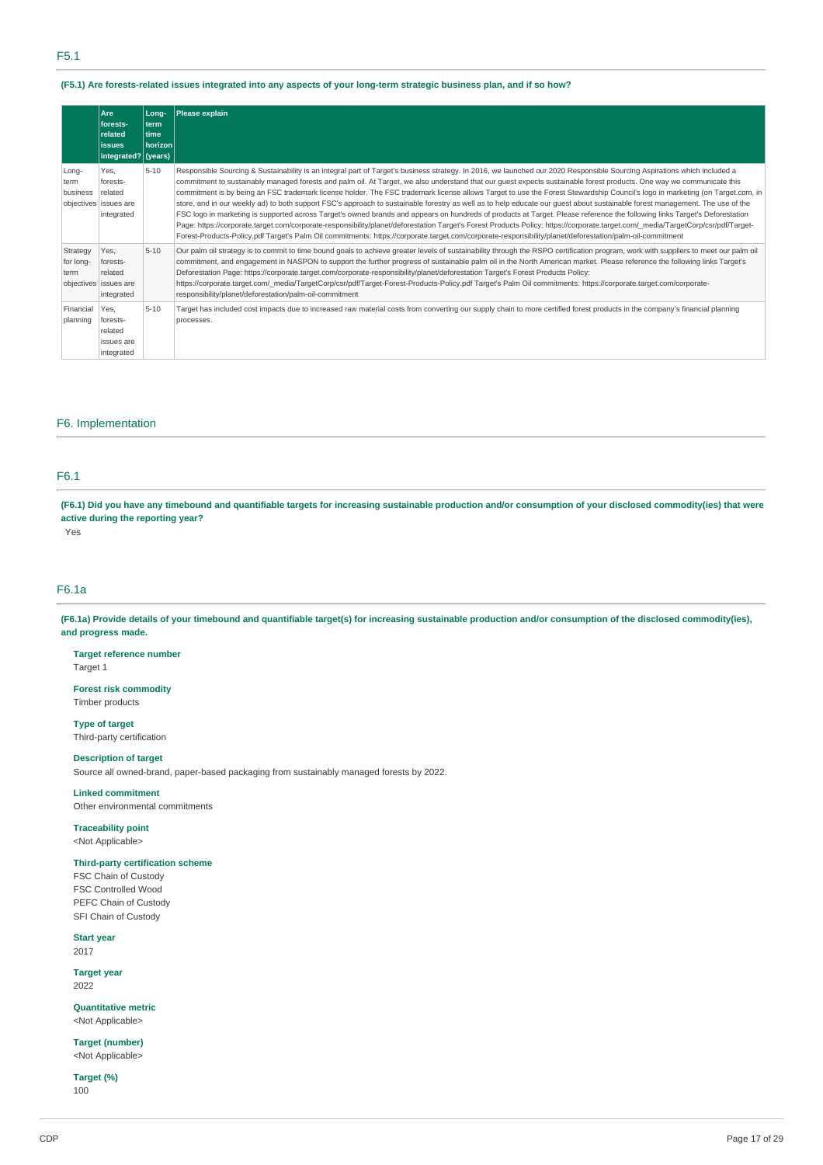### **(F5.1) Are forests-related issues integrated into any aspects of your long-term strategic business plan, and if so how?**

|                               | Are<br>forests-<br>related<br><b>issues</b><br>integrated? (years) | Long-<br>l term<br>time<br>  horizon | Please explain                                                                                                                                                                                                                                                                                                                                                                                                                                                                                                                                                                                                                                                                                                                                                                                                                                                                                                                                                                                                                                                                                                                                                                                                                                  |
|-------------------------------|--------------------------------------------------------------------|--------------------------------------|-------------------------------------------------------------------------------------------------------------------------------------------------------------------------------------------------------------------------------------------------------------------------------------------------------------------------------------------------------------------------------------------------------------------------------------------------------------------------------------------------------------------------------------------------------------------------------------------------------------------------------------------------------------------------------------------------------------------------------------------------------------------------------------------------------------------------------------------------------------------------------------------------------------------------------------------------------------------------------------------------------------------------------------------------------------------------------------------------------------------------------------------------------------------------------------------------------------------------------------------------|
| Long-<br>term<br>business     | Yes.<br>forests-<br>related<br>objectives issues are<br>integrated | $5 - 10$                             | Responsible Sourcing & Sustainability is an integral part of Target's business strategy. In 2016, we launched our 2020 Responsible Sourcing Aspirations which included a<br>commitment to sustainably managed forests and palm oil. At Target, we also understand that our guest expects sustainable forest products. One way we communicate this<br>commitment is by being an FSC trademark license holder. The FSC trademark license allows Target to use the Forest Stewardship Council's logo in marketing (on Target.com, in<br>store, and in our weekly ad) to both support FSC's approach to sustainable forestry as well as to help educate our quest about sustainable forest management. The use of the<br>FSC logo in marketing is supported across Target's owned brands and appears on hundreds of products at Target. Please reference the following links Target's Deforestation<br>Page: https://corporate.target.com/corporate-responsibility/planet/deforestation Target's Forest Products Policy: https://corporate.target.com/ media/TargetCorp/csr/pdf/Target-<br>Forest-Products-Policy.pdf Target's Palm Oil commitments: https://corporate.target.com/corporate-responsibility/planet/deforestation/palm-oil-commitment |
| Strategy<br>for long-<br>term | Yes,<br>forests-<br>related<br>objectives issues are<br>integrated | $5 - 10$                             | Our palm oil strategy is to commit to time bound goals to achieve greater levels of sustainability through the RSPO certification program, work with suppliers to meet our palm oil<br>commitment, and engagement in NASPON to support the further progress of sustainable palm oil in the North American market. Please reference the following links Target's<br>Deforestation Page: https://corporate.target.com/corporate-responsibility/planet/deforestation Target's Forest Products Policy:<br>https://corporate.target.com/ media/TargetCorp/csr/pdf/Target-Forest-Products-Policy.pdf Target's Palm Oil commitments: https://corporate.target.com/corporate-<br>responsibility/planet/deforestation/palm-oil-commitment                                                                                                                                                                                                                                                                                                                                                                                                                                                                                                                |
| Financial<br>planning         | Yes.<br>forests-<br>related<br>issues are<br>integrated            | $5 - 10$                             | Target has included cost impacts due to increased raw material costs from converting our supply chain to more certified forest products in the company's financial planning<br>processes.                                                                                                                                                                                                                                                                                                                                                                                                                                                                                                                                                                                                                                                                                                                                                                                                                                                                                                                                                                                                                                                       |

# F6. Implementation

# F6.1

**(F6.1) Did you have any timebound and quantifiable targets for increasing sustainable production and/or consumption of your disclosed commodity(ies) that were active during the reporting year?** 

Yes

## F6.1a

**(F6.1a) Provide details of your timebound and quantifiable target(s) for increasing sustainable production and/or consumption of the disclosed commodity(ies), and progress made.** 

**Target reference number**  Target 1

**Forest risk commodity**  Timber products

**Type of target**  Third-party certification

## **Description of target**

Source all owned-brand, paper-based packaging from sustainably managed forests by 2022.

**Linked commitment**  Other environmental commitments

**Traceability point**  <Not Applicable>

### **Third-party certification scheme**

FSC Chain of Custody FSC Controlled Wood PEFC Chain of Custody SFI Chain of Custody

**Start year** 

2017

**Target year**  2022

**Quantitative metric**  <Not Applicable>

**Target (number)**  <Not Applicable>

**Target (%)**  100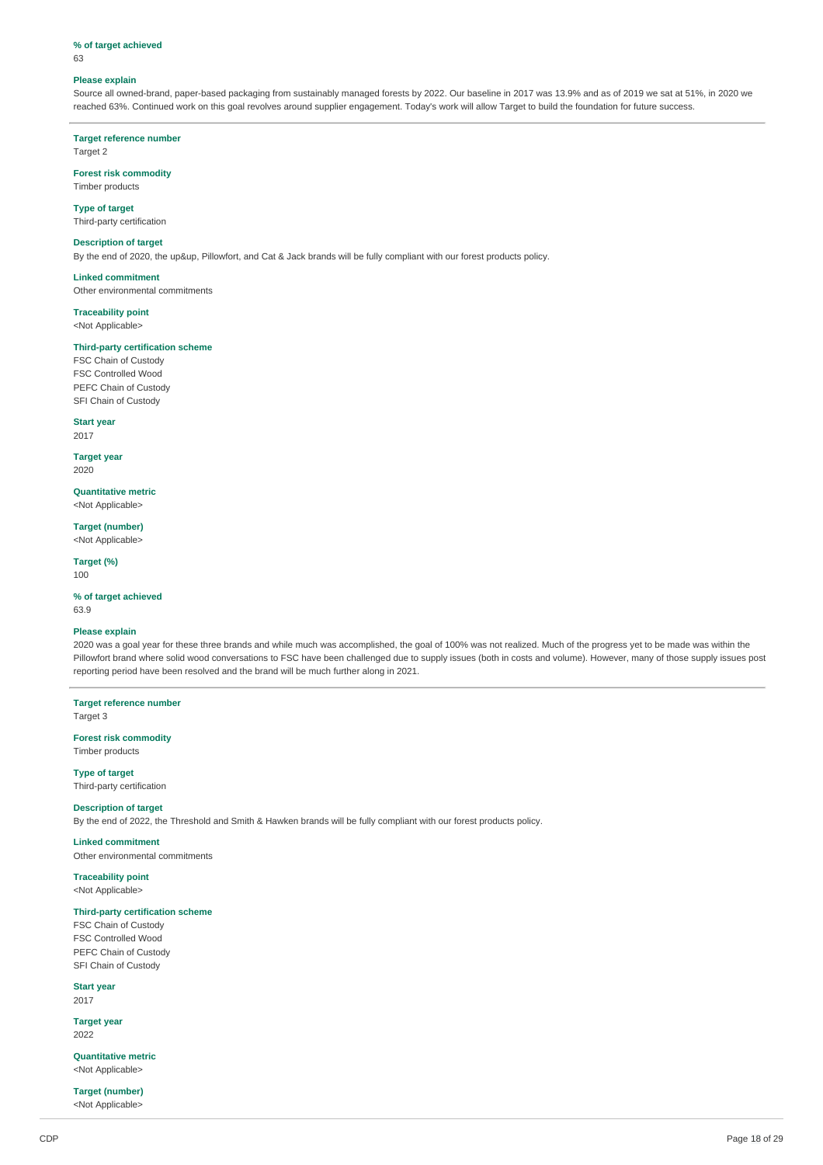### **% of target achieved**

63

#### **Please explain**

Source all owned-brand, paper-based packaging from sustainably managed forests by 2022. Our baseline in 2017 was 13.9% and as of 2019 we sat at 51%, in 2020 we reached 63%. Continued work on this goal revolves around supplier engagement. Today's work will allow Target to build the foundation for future success.

**Target reference number** 

Target 2

## **Forest risk commodity**  Timber products

**Type of target** 

Third-party certification

# **Description of target**

By the end of 2020, the up&up, Pillowfort, and Cat & Jack brands will be fully compliant with our forest products policy.

**Linked commitment** 

Other environmental commitments

## **Traceability point**  <Not Applicable>

## **Third-party certification scheme**

FSC Chain of Custody FSC Controlled Wood PEFC Chain of Custody SFI Chain of Custody

## **Start year**

2017 **Target year** 

2020

**Quantitative metric**  <Not Applicable>

**Target (number)** 

<Not Applicable>

**Target (%)**  100

# **% of target achieved**

63.9

## **Please explain**

2020 was a goal year for these three brands and while much was accomplished, the goal of 100% was not realized. Much of the progress yet to be made was within the Pillowfort brand where solid wood conversations to FSC have been challenged due to supply issues (both in costs and volume). However, many of those supply issues post reporting period have been resolved and the brand will be much further along in 2021.

**Target reference number** 

Target 3

**Forest risk commodity**  Timber products

**Type of target**  Third-party certification

### **Description of target**

By the end of 2022, the Threshold and Smith & Hawken brands will be fully compliant with our forest products policy.

**Linked commitment**  Other environmental commitments

**Traceability point** 

# <Not Applicable>

# **Third-party certification scheme**

FSC Chain of Custody FSC Controlled Wood PEFC Chain of Custody SFI Chain of Custody

**Start year** 

2017

**Target year**  2022

**Quantitative metric**  <Not Applicable>

**Target (number)**  <Not Applicable>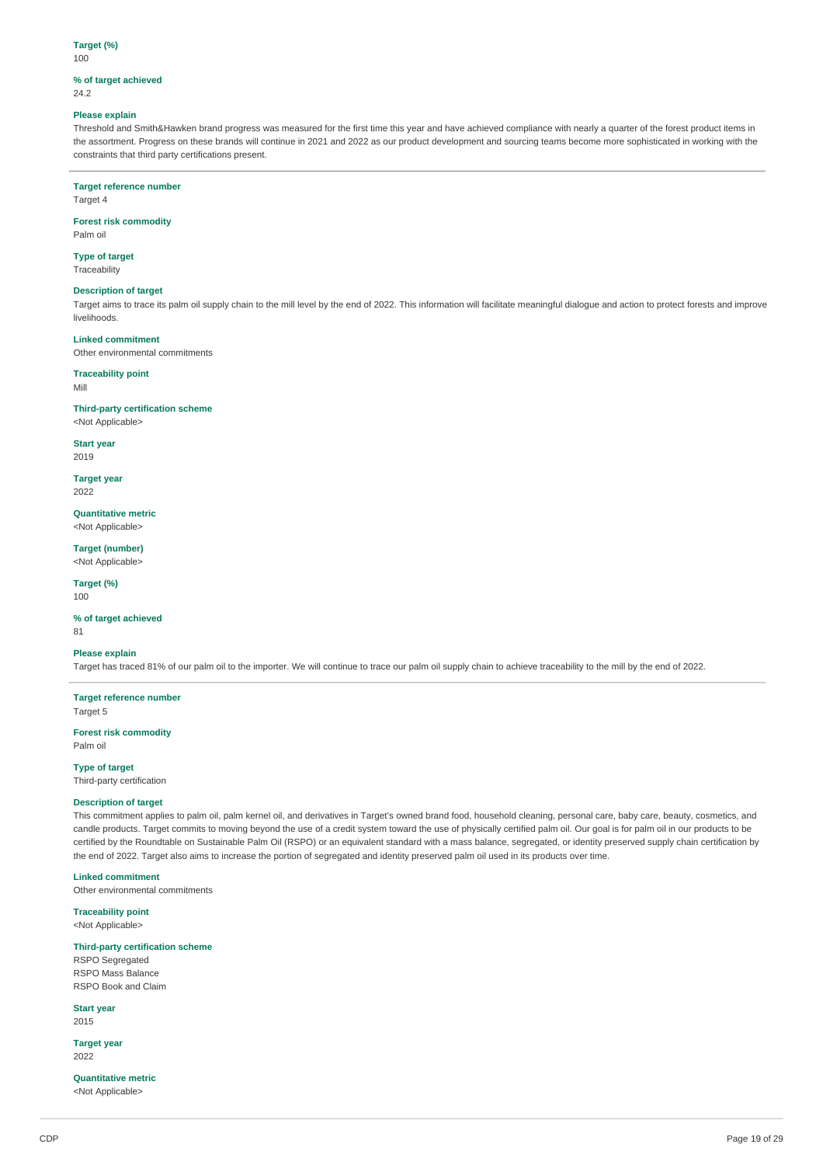# **Target (%)**

100

#### **% of target achieved**  24.2

# **Please explain**

Threshold and Smith&Hawken brand progress was measured for the first time this year and have achieved compliance with nearly a quarter of the forest product items in the assortment. Progress on these brands will continue in 2021 and 2022 as our product development and sourcing teams become more sophisticated in working with the constraints that third party certifications present.

### **Target reference number**

Target 4

#### **Forest risk commodity**  Palm oil

### **Type of target**  Traceability

## **Description of target**

Target aims to trace its palm oil supply chain to the mill level by the end of 2022. This information will facilitate meaningful dialogue and action to protect forests and improve livelihoods.

# **Linked commitment**

Other environmental commitments

# **Traceability point**

Mill

# **Third-party certification scheme**

<Not Applicable>

**Start year**  2019

## **Target year**

2022

**Quantitative metric**  <Not Applicable>

**Target (number)**  <Not Applicable>

### **Target (%)**  100

## **% of target achieved**

81

### **Please explain**

Target has traced 81% of our palm oil to the importer. We will continue to trace our palm oil supply chain to achieve traceability to the mill by the end of 2022.

**Target reference number**  Target 5

### **Forest risk commodity**  Palm oil

**Type of target** 

Third-party certification

### **Description of target**

This commitment applies to palm oil, palm kernel oil, and derivatives in Target's owned brand food, household cleaning, personal care, baby care, beauty, cosmetics, and candle products. Target commits to moving beyond the use of a credit system toward the use of physically certified palm oil. Our goal is for palm oil in our products to be certified by the Roundtable on Sustainable Palm Oil (RSPO) or an equivalent standard with a mass balance, segregated, or identity preserved supply chain certification by the end of 2022. Target also aims to increase the portion of segregated and identity preserved palm oil used in its products over time.

# **Linked commitment**

Other environmental commitments

### **Traceability point**

<Not Applicable>

## **Third-party certification scheme**

RSPO Segregated RSPO Mass Balance RSPO Book and Claim

### **Start year**

2015

**Target year**  2022

## **Quantitative metric**

<Not Applicable>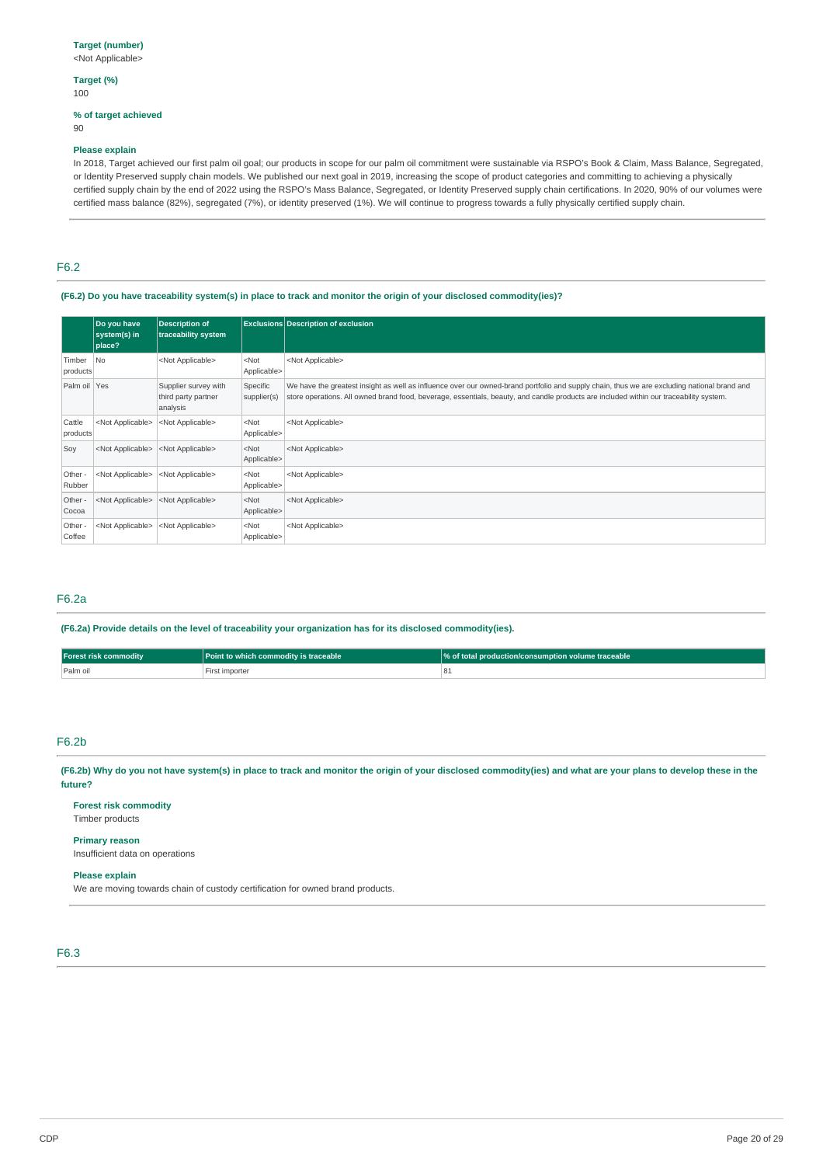# **Target (%)**

# 100

# **% of target achieved**

90

# **Please explain**

In 2018, Target achieved our first palm oil goal; our products in scope for our palm oil commitment were sustainable via RSPO's Book & Claim, Mass Balance, Segregated, or Identity Preserved supply chain models. We published our next goal in 2019, increasing the scope of product categories and committing to achieving a physically certified supply chain by the end of 2022 using the RSPO's Mass Balance, Segregated, or Identity Preserved supply chain certifications. In 2020, 90% of our volumes were certified mass balance (82%), segregated (7%), or identity preserved (1%). We will continue to progress towards a fully physically certified supply chain.

# F6.2

# **(F6.2) Do you have traceability system(s) in place to track and monitor the origin of your disclosed commodity(ies)?**

|                    | Do you have<br>system(s) in<br>place? | <b>Description of</b><br>traceability system            |                         | <b>Exclusions Description of exclusion</b>                                                                                                                                                                                                                                            |  |
|--------------------|---------------------------------------|---------------------------------------------------------|-------------------------|---------------------------------------------------------------------------------------------------------------------------------------------------------------------------------------------------------------------------------------------------------------------------------------|--|
| Timber<br>products | No.                                   | <not applicable=""></not>                               | $<$ Not<br>Applicable>  | <not applicable=""></not>                                                                                                                                                                                                                                                             |  |
| Palm oil Yes       |                                       | Supplier survey with<br>third party partner<br>analysis | Specific<br>supplier(s) | We have the greatest insight as well as influence over our owned-brand portfolio and supply chain, thus we are excluding national brand and<br>store operations. All owned brand food, beverage, essentials, beauty, and candle products are included within our traceability system. |  |
| Cattle<br>products | <not applicable=""></not>             | <not applicable=""></not>                               | $<$ Not<br>Applicable>  | <not applicable=""></not>                                                                                                                                                                                                                                                             |  |
| Soy                | <not applicable=""></not>             | <not applicable=""></not>                               | $<$ Not<br>Applicable>  | <not applicable=""></not>                                                                                                                                                                                                                                                             |  |
| Other -<br>Rubber  | <not applicable=""></not>             | <not applicable=""></not>                               | $<$ Not<br>Applicable>  | <not applicable=""></not>                                                                                                                                                                                                                                                             |  |
| Other -<br>Cocoa   | <not applicable=""></not>             | <not applicable=""></not>                               | $<$ Not<br>Applicable>  | <not applicable=""></not>                                                                                                                                                                                                                                                             |  |
| Other -<br>Coffee  | <not applicable=""></not>             | <not applicable=""></not>                               | $<$ Not<br>Applicable>  | <not applicable=""></not>                                                                                                                                                                                                                                                             |  |

# F6.2a

## **(F6.2a) Provide details on the level of traceability your organization has for its disclosed commodity(ies).**

| <b>Forest risk commodity</b> | Point to which commodity is traceable | <b>We of total production/consumption volume traceable</b> |
|------------------------------|---------------------------------------|------------------------------------------------------------|
| Palm oil                     | First importer                        |                                                            |

# F6.2b

**(F6.2b) Why do you not have system(s) in place to track and monitor the origin of your disclosed commodity(ies) and what are your plans to develop these in the future?** 

# **Forest risk commodity**

Timber products

# **Primary reason**

Insufficient data on operations

## **Please explain**

We are moving towards chain of custody certification for owned brand products.

# F6.3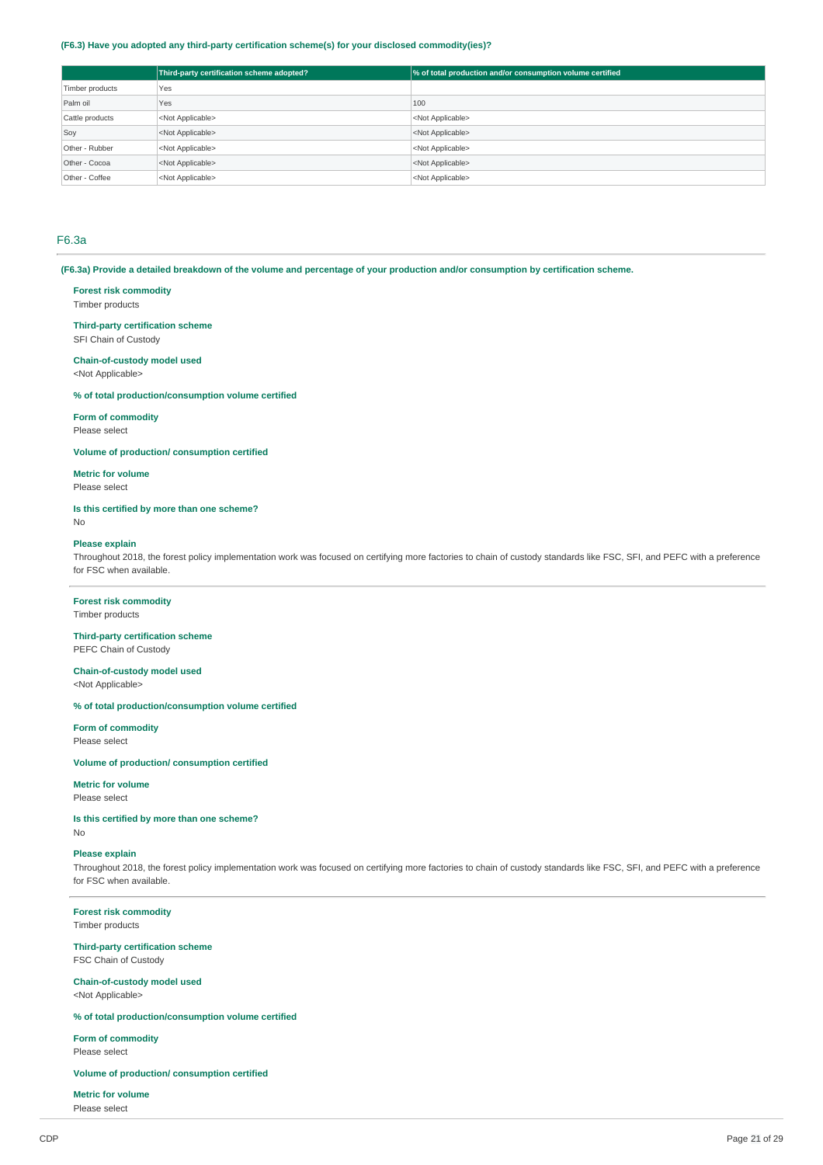## **(F6.3) Have you adopted any third-party certification scheme(s) for your disclosed commodity(ies)?**

|                 | Third-party certification scheme adopted? | % of total production and/or consumption volume certified |
|-----------------|-------------------------------------------|-----------------------------------------------------------|
| Timber products | Yes                                       |                                                           |
| Palm oil        | Yes                                       | 100                                                       |
| Cattle products | <not applicable=""></not>                 | <not applicable=""></not>                                 |
| Soy             | <not applicable=""></not>                 | <not applicable=""></not>                                 |
| Other - Rubber  | <not applicable=""></not>                 | <not applicable=""></not>                                 |
| Other - Cocoa   | <not applicable=""></not>                 | <not applicable=""></not>                                 |
| Other - Coffee  | <not applicable=""></not>                 | <not applicable=""></not>                                 |

## F6.3a

**(F6.3a) Provide a detailed breakdown of the volume and percentage of your production and/or consumption by certification scheme.** 

# **Forest risk commodity**

Timber products

# **Third-party certification scheme**

SFI Chain of Custody

## **Chain-of-custody model used**

<Not Applicable>

### **% of total production/consumption volume certified**

**Form of commodity** 

Please select

**Volume of production/ consumption certified** 

# **Metric for volume**

Please select

# **Is this certified by more than one scheme?**

No

## **Please explain**

Throughout 2018, the forest policy implementation work was focused on certifying more factories to chain of custody standards like FSC, SFI, and PEFC with a preference for FSC when available.

# **Forest risk commodity**

Timber products

#### **Third-party certification scheme**  PEFC Chain of Custody

**Chain-of-custody model used**  <Not Applicable>

### **% of total production/consumption volume certified**

**Form of commodity** 

Please select

# **Volume of production/ consumption certified**

**Metric for volume** 

# Please select

**Is this certified by more than one scheme?**  No

## **Please explain**

Throughout 2018, the forest policy implementation work was focused on certifying more factories to chain of custody standards like FSC, SFI, and PEFC with a preference for FSC when available.

### **Forest risk commodity**

Timber products

#### **Third-party certification scheme**  FSC Chain of Custody

**Chain-of-custody model used**  <Not Applicable>

# **% of total production/consumption volume certified**

**Form of commodity**  Please select

### **Volume of production/ consumption certified**

**Metric for volume** 

Please select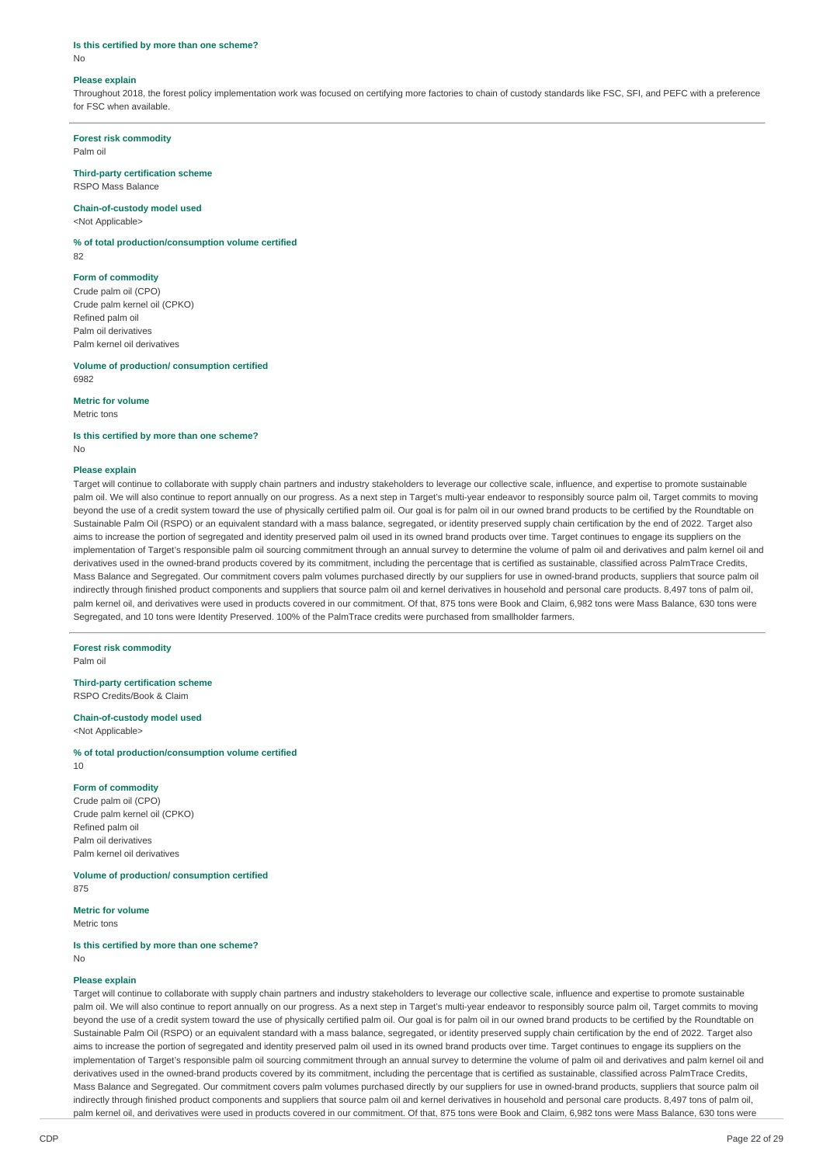### **Is this certified by more than one scheme?**

No

## **Please explain**

Throughout 2018, the forest policy implementation work was focused on certifying more factories to chain of custody standards like FSC, SFI, and PEFC with a preference for FSC when available.

#### **Forest risk commodity**

Palm oil

#### **Third-party certification scheme**  RSPO Mass Balance

**Chain-of-custody model used** 

<Not Applicable>

#### **% of total production/consumption volume certified**

82

## **Form of commodity**

Crude palm oil (CPO) Crude palm kernel oil (CPKO) Refined palm oil Palm oil derivatives Palm kernel oil derivatives

# **Volume of production/ consumption certified**

6982

No

### **Metric for volume**

Metric tons

**Is this certified by more than one scheme?** 

# **Please explain**

Target will continue to collaborate with supply chain partners and industry stakeholders to leverage our collective scale, influence, and expertise to promote sustainable palm oil. We will also continue to report annually on our progress. As a next step in Target's multi-year endeavor to responsibly source palm oil, Target commits to moving beyond the use of a credit system toward the use of physically certified palm oil. Our goal is for palm oil in our owned brand products to be certified by the Roundtable on Sustainable Palm Oil (RSPO) or an equivalent standard with a mass balance, segregated, or identity preserved supply chain certification by the end of 2022. Target also aims to increase the portion of segregated and identity preserved palm oil used in its owned brand products over time. Target continues to engage its suppliers on the implementation of Target's responsible palm oil sourcing commitment through an annual survey to determine the volume of palm oil and derivatives and palm kernel oil and derivatives used in the owned-brand products covered by its commitment, including the percentage that is certified as sustainable, classified across PalmTrace Credits, Mass Balance and Segregated. Our commitment covers palm volumes purchased directly by our suppliers for use in owned-brand products, suppliers that source palm oil indirectly through finished product components and suppliers that source palm oil and kernel derivatives in household and personal care products. 8,497 tons of palm oil, palm kernel oil, and derivatives were used in products covered in our commitment. Of that, 875 tons were Book and Claim, 6,982 tons were Mass Balance, 630 tons were Segregated, and 10 tons were Identity Preserved. 100% of the PalmTrace credits were purchased from smallholder farmers.

#### **Forest risk commodity**

Palm oil

#### **Third-party certification scheme**  RSPO Credits/Book & Claim

#### **Chain-of-custody model used**  <Not Applicable>

# **% of total production/consumption volume certified**

10

## **Form of commodity**

Crude palm oil (CPO) Crude palm kernel oil (CPKO) Refined palm oil Palm oil derivatives Palm kernel oil derivatives

# **Volume of production/ consumption certified**

875

# **Metric for volume**

Metric tons

#### **Is this certified by more than one scheme?**  No

## **Please explain**

Target will continue to collaborate with supply chain partners and industry stakeholders to leverage our collective scale, influence and expertise to promote sustainable palm oil. We will also continue to report annually on our progress. As a next step in Target's multi-year endeavor to responsibly source palm oil, Target commits to moving beyond the use of a credit system toward the use of physically certified palm oil. Our goal is for palm oil in our owned brand products to be certified by the Roundtable on Sustainable Palm Oil (RSPO) or an equivalent standard with a mass balance, segregated, or identity preserved supply chain certification by the end of 2022. Target also aims to increase the portion of segregated and identity preserved palm oil used in its owned brand products over time. Target continues to engage its suppliers on the implementation of Target's responsible palm oil sourcing commitment through an annual survey to determine the volume of palm oil and derivatives and palm kernel oil and derivatives used in the owned-brand products covered by its commitment, including the percentage that is certified as sustainable, classified across PalmTrace Credits, Mass Balance and Segregated. Our commitment covers palm volumes purchased directly by our suppliers for use in owned-brand products, suppliers that source palm oil indirectly through finished product components and suppliers that source palm oil and kernel derivatives in household and personal care products. 8,497 tons of palm oil, palm kernel oil, and derivatives were used in products covered in our commitment. Of that, 875 tons were Book and Claim, 6,982 tons were Mass Balance, 630 tons were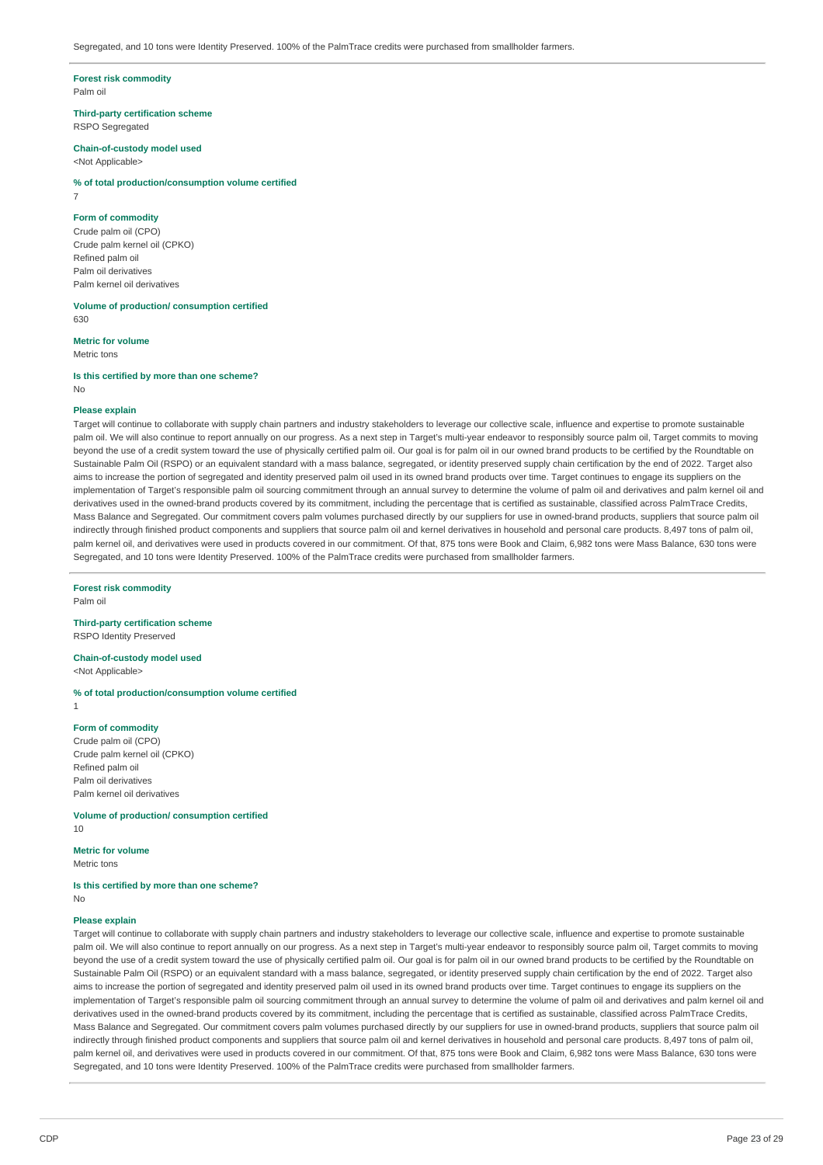#### **Forest risk commodity**  Palm oil

**Third-party certification scheme** 

RSPO Segregated

#### **Chain-of-custody model used**  <Not Applicable>

**% of total production/consumption volume certified**  7

### **Form of commodity**

Crude palm oil (CPO) Crude palm kernel oil (CPKO) Refined palm oil Palm oil derivatives Palm kernel oil derivatives

**Volume of production/ consumption certified**  630

**Metric for volume** 

Metric tons

### **Is this certified by more than one scheme?**

No

### **Please explain**

Target will continue to collaborate with supply chain partners and industry stakeholders to leverage our collective scale, influence and expertise to promote sustainable palm oil. We will also continue to report annually on our progress. As a next step in Target's multi-year endeavor to responsibly source palm oil, Target commits to moving beyond the use of a credit system toward the use of physically certified palm oil. Our goal is for palm oil in our owned brand products to be certified by the Roundtable on Sustainable Palm Oil (RSPO) or an equivalent standard with a mass balance, segregated, or identity preserved supply chain certification by the end of 2022. Target also aims to increase the portion of segregated and identity preserved palm oil used in its owned brand products over time. Target continues to engage its suppliers on the implementation of Target's responsible palm oil sourcing commitment through an annual survey to determine the volume of palm oil and derivatives and palm kernel oil and derivatives used in the owned-brand products covered by its commitment, including the percentage that is certified as sustainable, classified across PalmTrace Credits, Mass Balance and Segregated. Our commitment covers palm volumes purchased directly by our suppliers for use in owned-brand products, suppliers that source palm oil indirectly through finished product components and suppliers that source palm oil and kernel derivatives in household and personal care products. 8,497 tons of palm oil. palm kernel oil, and derivatives were used in products covered in our commitment. Of that, 875 tons were Book and Claim, 6,982 tons were Mass Balance, 630 tons were Segregated, and 10 tons were Identity Preserved. 100% of the PalmTrace credits were purchased from smallholder farmers.

# **Forest risk commodity**

Palm oil

## **Third-party certification scheme**

RSPO Identity Preserved

#### **Chain-of-custody model used**  <Not Applicable>

**% of total production/consumption volume certified**  1

## **Form of commodity**

Crude palm oil (CPO) Crude palm kernel oil (CPKO) Refined palm oil Palm oil derivatives Palm kernel oil derivatives

**Volume of production/ consumption certified**  10

**Metric for volume**  Metric tons

### **Is this certified by more than one scheme?**

No

# **Please explain**

Target will continue to collaborate with supply chain partners and industry stakeholders to leverage our collective scale, influence and expertise to promote sustainable palm oil. We will also continue to report annually on our progress. As a next step in Target's multi-year endeavor to responsibly source palm oil, Target commits to moving beyond the use of a credit system toward the use of physically certified palm oil. Our goal is for palm oil in our owned brand products to be certified by the Roundtable on Sustainable Palm Oil (RSPO) or an equivalent standard with a mass balance, segregated, or identity preserved supply chain certification by the end of 2022. Target also aims to increase the portion of segregated and identity preserved palm oil used in its owned brand products over time. Target continues to engage its suppliers on the implementation of Target's responsible palm oil sourcing commitment through an annual survey to determine the volume of palm oil and derivatives and palm kernel oil and derivatives used in the owned-brand products covered by its commitment, including the percentage that is certified as sustainable, classified across PalmTrace Credits, Mass Balance and Segregated. Our commitment covers palm volumes purchased directly by our suppliers for use in owned-brand products, suppliers that source palm oil indirectly through finished product components and suppliers that source palm oil and kernel derivatives in household and personal care products. 8,497 tons of palm oil. palm kernel oil, and derivatives were used in products covered in our commitment. Of that, 875 tons were Book and Claim, 6,982 tons were Mass Balance, 630 tons were Segregated, and 10 tons were Identity Preserved. 100% of the PalmTrace credits were purchased from smallholder farmers.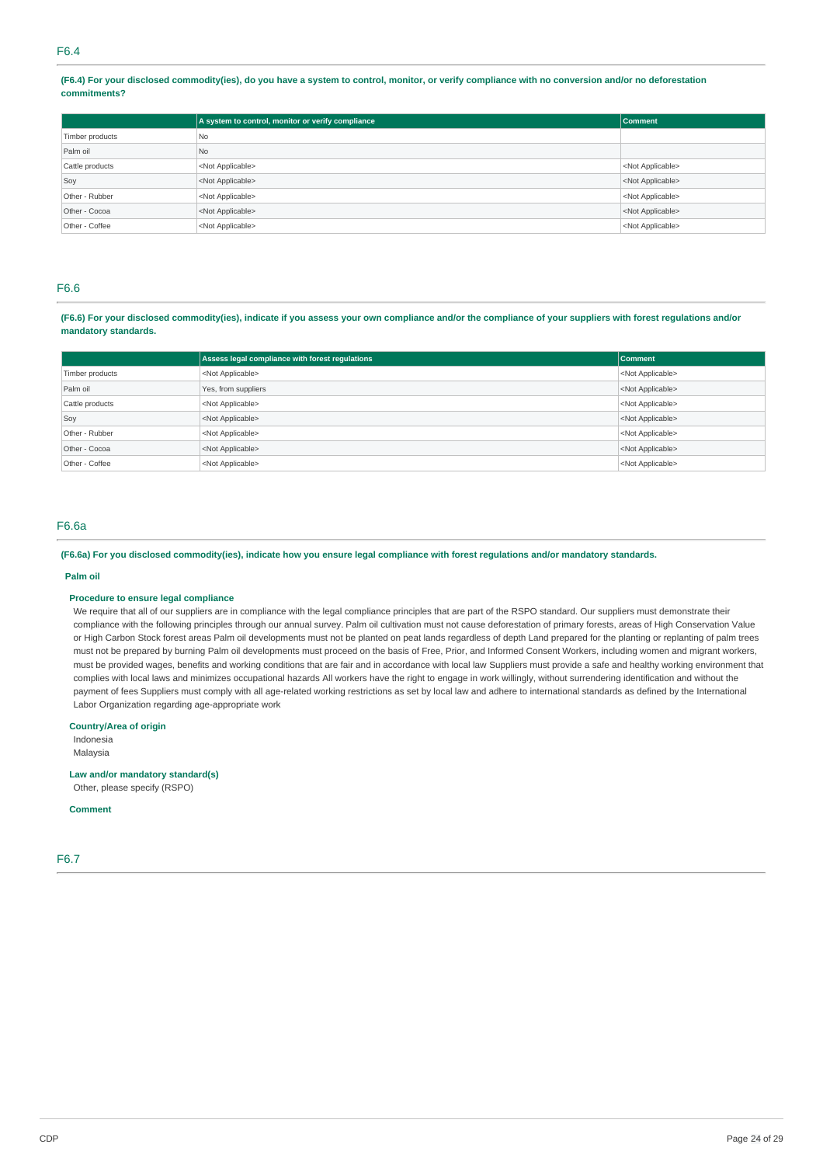**(F6.4) For your disclosed commodity(ies), do you have a system to control, monitor, or verify compliance with no conversion and/or no deforestation commitments?** 

|                 | A system to control, monitor or verify compliance | <b>Comment</b>            |
|-----------------|---------------------------------------------------|---------------------------|
| Timber products | <b>No</b>                                         |                           |
| Palm oil        | N <sub>o</sub>                                    |                           |
| Cattle products | <not applicable=""></not>                         | <not applicable=""></not> |
| Soy             | <not applicable=""></not>                         | <not applicable=""></not> |
| Other - Rubber  | <not applicable=""></not>                         | <not applicable=""></not> |
| Other - Cocoa   | <not applicable=""></not>                         | <not applicable=""></not> |
| Other - Coffee  | <not applicable=""></not>                         | <not applicable=""></not> |

# F6.6

**(F6.6) For your disclosed commodity(ies), indicate if you assess your own compliance and/or the compliance of your suppliers with forest regulations and/or mandatory standards.** 

|                 | Assess legal compliance with forest regulations | <b>Comment</b>            |
|-----------------|-------------------------------------------------|---------------------------|
| Timber products | <not applicable=""></not>                       | <not applicable=""></not> |
| Palm oil        | Yes, from suppliers                             | <not applicable=""></not> |
| Cattle products | <not applicable=""></not>                       | <not applicable=""></not> |
| Soy             | <not applicable=""></not>                       | <not applicable=""></not> |
| Other - Rubber  | <not applicable=""></not>                       | <not applicable=""></not> |
| Other - Cocoa   | <not applicable=""></not>                       | <not applicable=""></not> |
| Other - Coffee  | <not applicable=""></not>                       | <not applicable=""></not> |

# F6.6a

## **(F6.6a) For you disclosed commodity(ies), indicate how you ensure legal compliance with forest regulations and/or mandatory standards.**

#### **Palm oil**

## **Procedure to ensure legal compliance**

We require that all of our suppliers are in compliance with the legal compliance principles that are part of the RSPO standard. Our suppliers must demonstrate their compliance with the following principles through our annual survey. Palm oil cultivation must not cause deforestation of primary forests, areas of High Conservation Value or High Carbon Stock forest areas Palm oil developments must not be planted on peat lands regardless of depth Land prepared for the planting or replanting of palm trees must not be prepared by burning Palm oil developments must proceed on the basis of Free, Prior, and Informed Consent Workers, including women and migrant workers, must be provided wages, benefits and working conditions that are fair and in accordance with local law Suppliers must provide a safe and healthy working environment that complies with local laws and minimizes occupational hazards All workers have the right to engage in work willingly, without surrendering identification and without the payment of fees Suppliers must comply with all age-related working restrictions as set by local law and adhere to international standards as defined by the International Labor Organization regarding age-appropriate work

### **Country/Area of origin**

Indonesia

Malaysia

**Law and/or mandatory standard(s)** 

Other, please specify (RSPO)

# **Comment**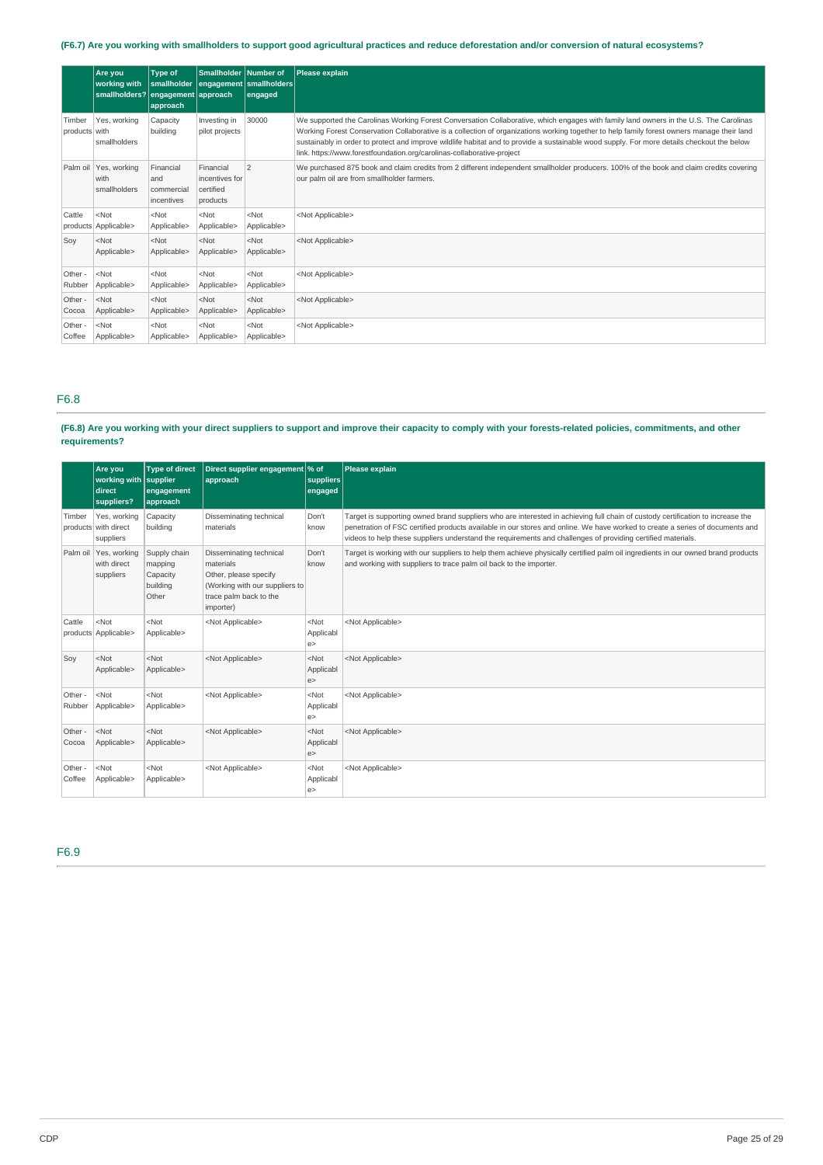# **(F6.7) Are you working with smallholders to support good agricultural practices and reduce deforestation and/or conversion of natural ecosystems?**

|                         | Are you<br>working with<br>smallholders? engagement approach | <b>Type of</b><br>approach                   | Smallholder Number of                                | smallholder engagement smallholders<br>engaged | Please explain                                                                                                                                                                                                                                                                                                                                                                                                                                                                                              |
|-------------------------|--------------------------------------------------------------|----------------------------------------------|------------------------------------------------------|------------------------------------------------|-------------------------------------------------------------------------------------------------------------------------------------------------------------------------------------------------------------------------------------------------------------------------------------------------------------------------------------------------------------------------------------------------------------------------------------------------------------------------------------------------------------|
| Timber<br>products with | Yes, working<br>smallholders                                 | Capacity<br>building                         | Investing in<br>pilot projects                       | 30000                                          | We supported the Carolinas Working Forest Conversation Collaborative, which engages with family land owners in the U.S. The Carolinas<br>Working Forest Conservation Collaborative is a collection of organizations working together to help family forest owners manage their land<br>sustainably in order to protect and improve wildlife habitat and to provide a sustainable wood supply. For more details checkout the below<br>link. https://www.forestfoundation.org/carolinas-collaborative-project |
|                         | Palm oil   Yes, working<br>with<br>smallholders              | Financial<br>and<br>commercial<br>incentives | Financial<br>incentives for<br>certified<br>products | 2                                              | We purchased 875 book and claim credits from 2 different independent smallholder producers. 100% of the book and claim credits covering<br>our palm oil are from smallholder farmers.                                                                                                                                                                                                                                                                                                                       |
| Cattle                  | $<$ Not<br>products Applicable>                              | $<$ Not<br>Applicable>                       | $<$ Not<br>Applicable>                               | $<$ Not<br>Applicable>                         | <not applicable=""></not>                                                                                                                                                                                                                                                                                                                                                                                                                                                                                   |
| Sov                     | $<$ Not<br>Applicable>                                       | $<$ Not<br>Applicable>                       | $<$ Not<br>Applicable>                               | $<$ Not<br>Applicable>                         | <not applicable=""></not>                                                                                                                                                                                                                                                                                                                                                                                                                                                                                   |
| Other -<br>Rubber       | $<$ Not<br>Applicable>                                       | $<$ Not<br>Applicable>                       | $<$ Not<br>Applicable>                               | $<$ Not<br>Applicable>                         | <not applicable=""></not>                                                                                                                                                                                                                                                                                                                                                                                                                                                                                   |
| Other -<br>Cocoa        | $<$ Not<br>Applicable>                                       | $<$ Not<br>Applicable>                       | $<$ Not<br>Applicable>                               | $<$ Not<br>Applicable>                         | <not applicable=""></not>                                                                                                                                                                                                                                                                                                                                                                                                                                                                                   |
| Other -<br>Coffee       | $<$ Not<br>Applicable>                                       | $<$ Not<br>Applicable>                       | $<$ Not<br>Applicable>                               | $<$ Not<br>Applicable>                         | <not applicable=""></not>                                                                                                                                                                                                                                                                                                                                                                                                                                                                                   |

## F6.8

# **(F6.8) Are you working with your direct suppliers to support and improve their capacity to comply with your forests-related policies, commitments, and other requirements?**

|                   | Are you<br>working with supplier<br>direct<br>suppliers? | <b>Type of direct</b><br>engagement<br>approach          | Direct supplier engagement % of<br>approach                                                                                            | suppliers<br>engaged        | Please explain                                                                                                                                                                                                                                                                                                                                                                |
|-------------------|----------------------------------------------------------|----------------------------------------------------------|----------------------------------------------------------------------------------------------------------------------------------------|-----------------------------|-------------------------------------------------------------------------------------------------------------------------------------------------------------------------------------------------------------------------------------------------------------------------------------------------------------------------------------------------------------------------------|
| Timber            | Yes, working<br>products with direct<br>suppliers        | Capacity<br>building                                     | Disseminating technical<br>materials                                                                                                   | Don't<br>know               | Target is supporting owned brand suppliers who are interested in achieving full chain of custody certification to increase the<br>penetration of FSC certified products available in our stores and online. We have worked to create a series of documents and<br>videos to help these suppliers understand the requirements and challenges of providing certified materials. |
|                   | Palm oil   Yes, working<br>with direct<br>suppliers      | Supply chain<br>mapping<br>Capacity<br>building<br>Other | Disseminating technical<br>materials<br>Other, please specify<br>(Working with our suppliers to<br>trace palm back to the<br>importer) | Don't<br>know               | Target is working with our suppliers to help them achieve physically certified palm oil ingredients in our owned brand products<br>and working with suppliers to trace palm oil back to the importer.                                                                                                                                                                         |
| Cattle            | $<$ Not<br>products Applicable>                          | $<$ Not<br>Applicable>                                   | <not applicable=""></not>                                                                                                              | $<$ Not<br>Applicabl<br>e   | <not applicable=""></not>                                                                                                                                                                                                                                                                                                                                                     |
| Soy               | $<$ Not<br>Applicable>                                   | $<$ Not<br>Applicable>                                   | <not applicable=""></not>                                                                                                              | $<$ Not<br>Applicabl<br>e   | <not applicable=""></not>                                                                                                                                                                                                                                                                                                                                                     |
| Other -<br>Rubber | $<$ Not<br>Applicable>                                   | $<$ Not<br>Applicable>                                   | <not applicable=""></not>                                                                                                              | $<$ Not<br>Applicabl<br>e   | <not applicable=""></not>                                                                                                                                                                                                                                                                                                                                                     |
| Other -<br>Cocoa  | $<$ Not<br>Applicable>                                   | $<$ Not<br>Applicable>                                   | <not applicable=""></not>                                                                                                              | $<$ Not<br>Applicabl<br>e   | <not applicable=""></not>                                                                                                                                                                                                                                                                                                                                                     |
| Other -<br>Coffee | $<$ Not<br>Applicable>                                   | $<$ Not<br>Applicable>                                   | <not applicable=""></not>                                                                                                              | $<$ Not<br>Applicabl<br>e > | <not applicable=""></not>                                                                                                                                                                                                                                                                                                                                                     |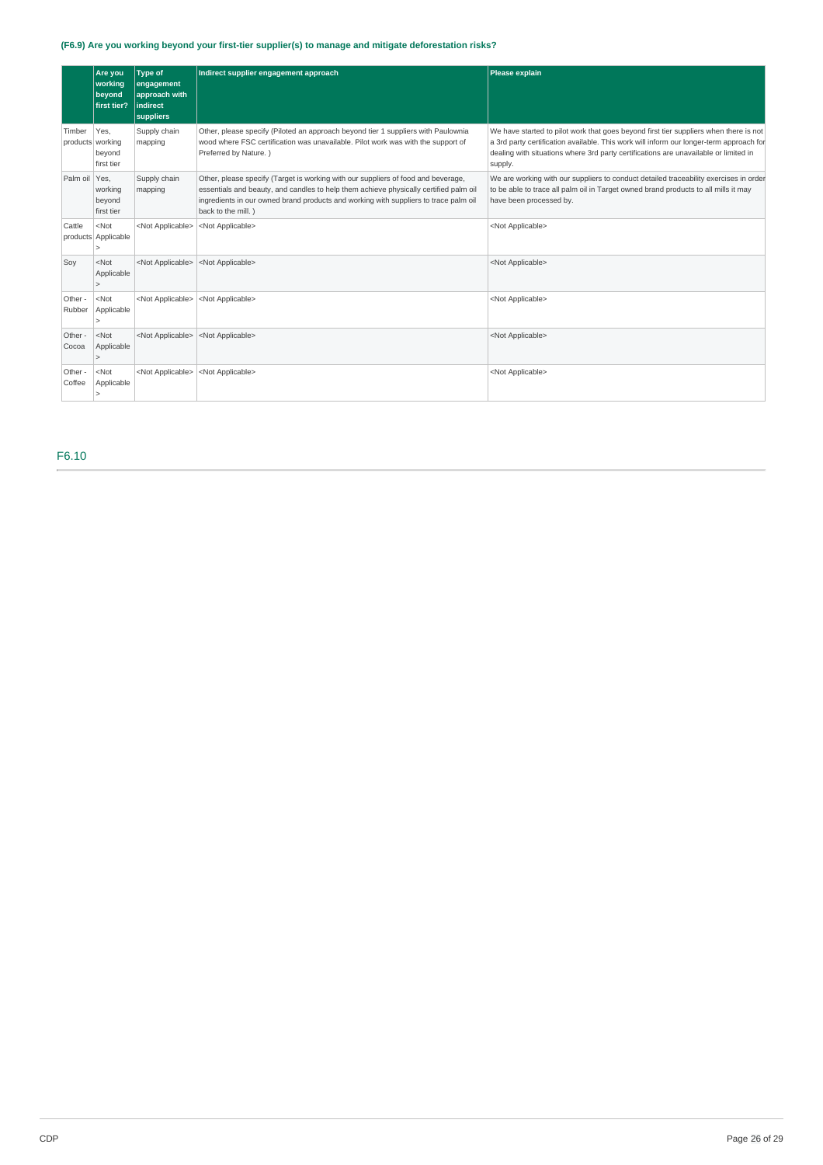# **(F6.9) Are you working beyond your first-tier supplier(s) to manage and mitigate deforestation risks?**

|                            | Are you<br>working<br>beyond<br>first tier? | <b>Type of</b><br>engagement<br>approach with<br><b>indirect</b><br>suppliers | Indirect supplier engagement approach                                                                                                                                                                                                                                                    | Please explain                                                                                                                                                                                                                                                                      |
|----------------------------|---------------------------------------------|-------------------------------------------------------------------------------|------------------------------------------------------------------------------------------------------------------------------------------------------------------------------------------------------------------------------------------------------------------------------------------|-------------------------------------------------------------------------------------------------------------------------------------------------------------------------------------------------------------------------------------------------------------------------------------|
| Timber<br>products working | Yes.<br>beyond<br>first tier                | Supply chain<br>mapping                                                       | Other, please specify (Piloted an approach beyond tier 1 suppliers with Paulownia<br>wood where FSC certification was unavailable. Pilot work was with the support of<br>Preferred by Nature.)                                                                                           | We have started to pilot work that goes beyond first tier suppliers when there is not<br>a 3rd party certification available. This work will inform our longer-term approach for<br>dealing with situations where 3rd party certifications are unavailable or limited in<br>supply. |
| Palm oil Yes.              | working<br>beyond<br>first tier             | Supply chain<br>mapping                                                       | Other, please specify (Target is working with our suppliers of food and beverage,<br>essentials and beauty, and candles to help them achieve physically certified palm oil<br>ingredients in our owned brand products and working with suppliers to trace palm oil<br>back to the mill.) | We are working with our suppliers to conduct detailed traceability exercises in order<br>to be able to trace all palm oil in Target owned brand products to all mills it may<br>have been processed by.                                                                             |
| Cattle                     | $ $ <not<br>products Applicable</not<br>    | <not applicable=""></not>                                                     | <not applicable=""></not>                                                                                                                                                                                                                                                                | <not applicable=""></not>                                                                                                                                                                                                                                                           |
| Soy                        | $<$ Not<br>Applicable<br>$\overline{ }$     | <not applicable=""></not>                                                     | <not applicable=""></not>                                                                                                                                                                                                                                                                | <not applicable=""></not>                                                                                                                                                                                                                                                           |
| Other -<br>Rubber          | $ $ <not<br>Applicable</not<br>             | <not applicable=""></not>                                                     | <not applicable=""></not>                                                                                                                                                                                                                                                                | <not applicable=""></not>                                                                                                                                                                                                                                                           |
| Other -<br>Cocoa           | $<$ Not<br>Applicable                       | <not applicable=""></not>                                                     | <not applicable=""></not>                                                                                                                                                                                                                                                                | <not applicable=""></not>                                                                                                                                                                                                                                                           |
| Other -<br>Coffee          | $<$ Not<br>Applicable                       | <not applicable=""></not>                                                     | <not applicable=""></not>                                                                                                                                                                                                                                                                | <not applicable=""></not>                                                                                                                                                                                                                                                           |

F6.10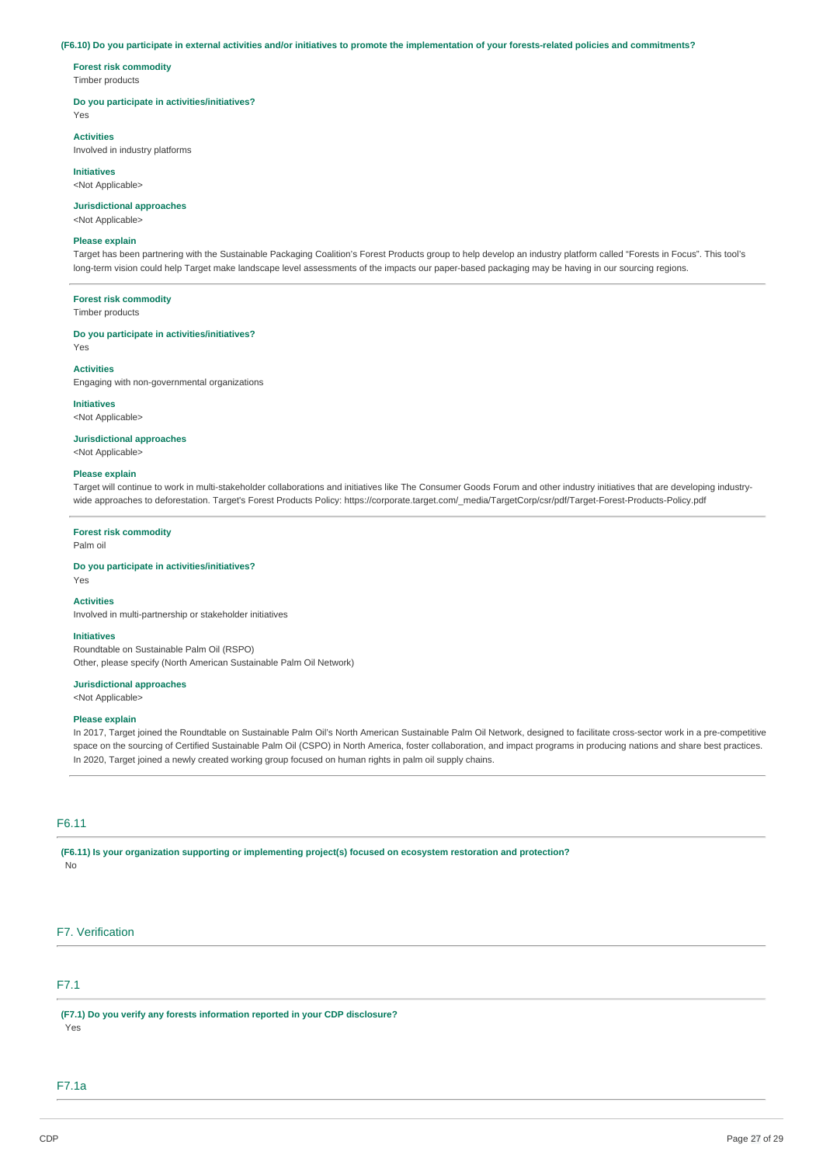#### **(F6.10) Do you participate in external activities and/or initiatives to promote the implementation of your forests-related policies and commitments?**

**Forest risk commodity**  Timber products

#### **Do you participate in activities/initiatives?**

Yes

# **Activities**

Involved in industry platforms

**Initiatives**  <Not Applicable>

# **Jurisdictional approaches**

<Not Applicable>

#### **Please explain**

Target has been partnering with the Sustainable Packaging Coalition's Forest Products group to help develop an industry platform called "Forests in Focus". This tool's long-term vision could help Target make landscape level assessments of the impacts our paper-based packaging may be having in our sourcing regions.

#### **Forest risk commodity**

Timber products

### **Do you participate in activities/initiatives?**

Yes

### **Activities**

Engaging with non-governmental organizations

# **Initiatives**

<Not Applicable>

### **Jurisdictional approaches**

<Not Applicable>

## **Please explain**

Target will continue to work in multi-stakeholder collaborations and initiatives like The Consumer Goods Forum and other industry initiatives that are developing industrywide approaches to deforestation. Target's Forest Products Policy: [https://corporate.target.com/\\_media/TargetCorp/csr/pdf/Target-Forest-Products-Policy.pdf](https://corporate.target.com/_media/TargetCorp/csr/pdf/Target-Forest-Products-Policy.pdf)

### **Forest risk commodity**

Palm oil

Yes

# **Do you participate in activities/initiatives?**

#### **Activities**

Involved in multi-partnership or stakeholder initiatives

#### **Initiatives**

Roundtable on Sustainable Palm Oil (RSPO) Other, please specify (North American Sustainable Palm Oil Network)

#### **Jurisdictional approaches**

<Not Applicable>

#### **Please explain**

In 2017, Target joined the Roundtable on Sustainable Palm Oil's North American Sustainable Palm Oil Network, designed to facilitate cross-sector work in a pre-competitive space on the sourcing of Certified Sustainable Palm Oil (CSPO) in North America, foster collaboration, and impact programs in producing nations and share best practices. In 2020, Target joined a newly created working group focused on human rights in palm oil supply chains.

# F6.11

**(F6.11) Is your organization supporting or implementing project(s) focused on ecosystem restoration and protection?** 

No

# F7. Verification

# F7.1

**(F7.1) Do you verify any forests information reported in your CDP disclosure?** 

Yes

# F7.1a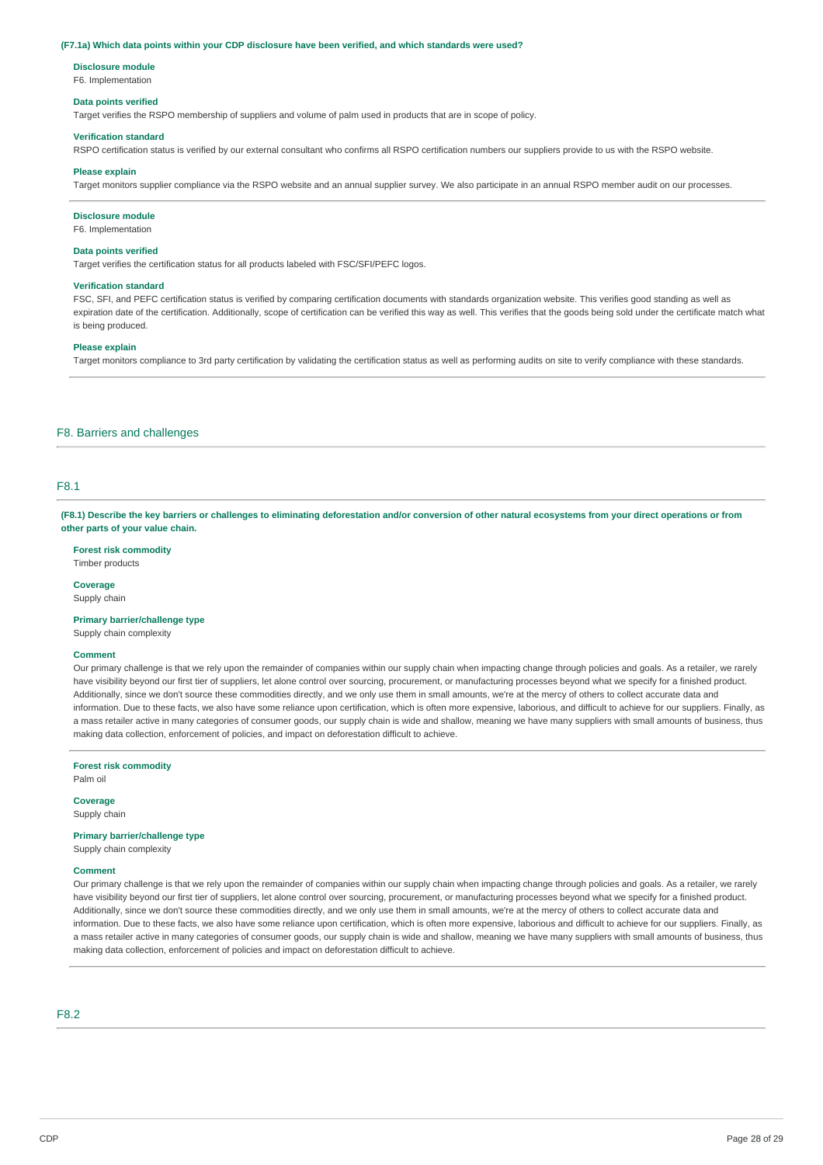#### **(F7.1a) Which data points within your CDP disclosure have been verified, and which standards were used?**

#### **Disclosure module**

F6. Implementation

## **Data points verified**

Target verifies the RSPO membership of suppliers and volume of palm used in products that are in scope of policy.

#### **Verification standard**

RSPO certification status is verified by our external consultant who confirms all RSPO certification numbers our suppliers provide to us with the RSPO website.

#### **Please explain**

Target monitors supplier compliance via the RSPO website and an annual supplier survey. We also participate in an annual RSPO member audit on our processes.

#### **Disclosure module**

F6. Implementation

#### **Data points verified**

Target verifies the certification status for all products labeled with FSC/SFI/PEFC logos.

#### **Verification standard**

FSC, SFI, and PEFC certification status is verified by comparing certification documents with standards organization website. This verifies good standing as well as expiration date of the certification. Additionally, scope of certification can be verified this way as well. This verifies that the goods being sold under the certificate match what is being produced.

#### **Please explain**

Target monitors compliance to 3rd party certification by validating the certification status as well as performing audits on site to verify compliance with these standards.

## F8. Barriers and challenges

# F8.1

**(F8.1) Describe the key barriers or challenges to eliminating deforestation and/or conversion of other natural ecosystems from your direct operations or from other parts of your value chain.** 

**Forest risk commodity** 

Timber products

**Coverage** 

Supply chain

**Primary barrier/challenge type** 

Supply chain complexity

#### **Comment**

Our primary challenge is that we rely upon the remainder of companies within our supply chain when impacting change through policies and goals. As a retailer, we rarely have visibility beyond our first tier of suppliers, let alone control over sourcing, procurement, or manufacturing processes beyond what we specify for a finished product. Additionally, since we don't source these commodities directly, and we only use them in small amounts, we're at the mercy of others to collect accurate data and information. Due to these facts, we also have some reliance upon certification, which is often more expensive, laborious, and difficult to achieve for our suppliers. Finally, as a mass retailer active in many categories of consumer goods, our supply chain is wide and shallow, meaning we have many suppliers with small amounts of business, thus making data collection, enforcement of policies, and impact on deforestation difficult to achieve.

**Forest risk commodity** 

Palm oil

**Coverage**  Supply chain

**Primary barrier/challenge type** 

Supply chain complexity

## **Comment**

Our primary challenge is that we rely upon the remainder of companies within our supply chain when impacting change through policies and goals. As a retailer, we rarely have visibility beyond our first tier of suppliers, let alone control over sourcing, procurement, or manufacturing processes beyond what we specify for a finished product. Additionally, since we don't source these commodities directly, and we only use them in small amounts, we're at the mercy of others to collect accurate data and information. Due to these facts, we also have some reliance upon certification, which is often more expensive, laborious and difficult to achieve for our suppliers. Finally, as a mass retailer active in many categories of consumer goods, our supply chain is wide and shallow, meaning we have many suppliers with small amounts of business, thus making data collection, enforcement of policies and impact on deforestation difficult to achieve.

# F8.2